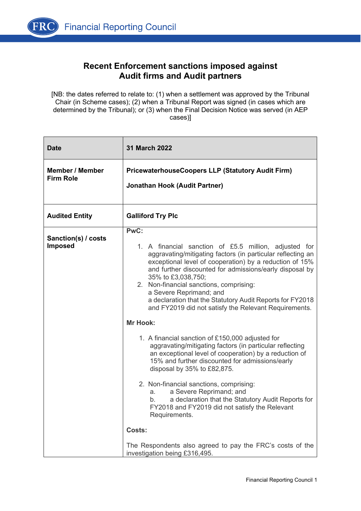

[NB: the dates referred to relate to: (1) when a settlement was approved by the Tribunal Chair (in Scheme cases); (2) when a Tribunal Report was signed (in cases which are determined by the Tribunal); or (3) when the Final Decision Notice was served (in AEP cases)]

| <b>Date</b>                                | 31 March 2022                                                                                                                                                                                                                                                                                                                                                                                                                                                        |
|--------------------------------------------|----------------------------------------------------------------------------------------------------------------------------------------------------------------------------------------------------------------------------------------------------------------------------------------------------------------------------------------------------------------------------------------------------------------------------------------------------------------------|
| <b>Member / Member</b><br><b>Firm Role</b> | <b>PricewaterhouseCoopers LLP (Statutory Audit Firm)</b><br><b>Jonathan Hook (Audit Partner)</b>                                                                                                                                                                                                                                                                                                                                                                     |
| <b>Audited Entity</b>                      | <b>Galliford Try Plc</b>                                                                                                                                                                                                                                                                                                                                                                                                                                             |
| Sanction(s) / costs<br><b>Imposed</b>      | PwC:<br>1. A financial sanction of £5.5 million, adjusted for<br>aggravating/mitigating factors (in particular reflecting an<br>exceptional level of cooperation) by a reduction of 15%<br>and further discounted for admissions/early disposal by<br>35% to £3,038,750;<br>2. Non-financial sanctions, comprising:<br>a Severe Reprimand; and<br>a declaration that the Statutory Audit Reports for FY2018<br>and FY2019 did not satisfy the Relevant Requirements. |
|                                            | <b>Mr Hook:</b>                                                                                                                                                                                                                                                                                                                                                                                                                                                      |
|                                            | 1. A financial sanction of £150,000 adjusted for<br>aggravating/mitigating factors (in particular reflecting<br>an exceptional level of cooperation) by a reduction of<br>15% and further discounted for admissions/early<br>disposal by $35\%$ to £82,875.                                                                                                                                                                                                          |
|                                            | 2. Non-financial sanctions, comprising:<br>a Severe Reprimand; and<br>а. –<br>a declaration that the Statutory Audit Reports for<br>b.<br>FY2018 and FY2019 did not satisfy the Relevant<br>Requirements.                                                                                                                                                                                                                                                            |
|                                            | Costs:                                                                                                                                                                                                                                                                                                                                                                                                                                                               |
|                                            | The Respondents also agreed to pay the FRC's costs of the<br>investigation being £316,495.                                                                                                                                                                                                                                                                                                                                                                           |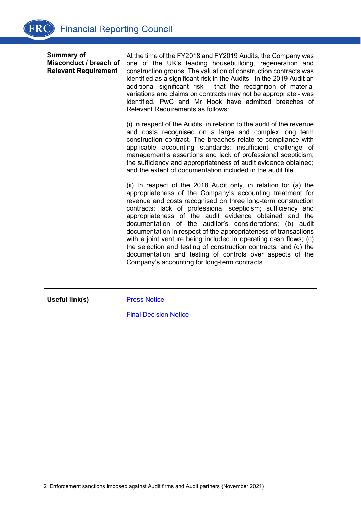| <b>Summary of</b><br>Misconduct / breach of<br><b>Relevant Requirement</b> | At the time of the FY2018 and FY2019 Audits, the Company was<br>one of the UK's leading housebuilding, regeneration and<br>construction groups. The valuation of construction contracts was<br>identified as a significant risk in the Audits. In the 2019 Audit an<br>additional significant risk - that the recognition of material<br>variations and claims on contracts may not be appropriate - was<br>identified. PwC and Mr Hook have admitted breaches of<br><b>Relevant Requirements as follows:</b>                                                                                                                                                                                              |
|----------------------------------------------------------------------------|------------------------------------------------------------------------------------------------------------------------------------------------------------------------------------------------------------------------------------------------------------------------------------------------------------------------------------------------------------------------------------------------------------------------------------------------------------------------------------------------------------------------------------------------------------------------------------------------------------------------------------------------------------------------------------------------------------|
|                                                                            | (i) In respect of the Audits, in relation to the audit of the revenue<br>and costs recognised on a large and complex long term<br>construction contract. The breaches relate to compliance with<br>applicable accounting standards; insufficient challenge of<br>management's assertions and lack of professional scepticism;<br>the sufficiency and appropriateness of audit evidence obtained;<br>and the extent of documentation included in the audit file.                                                                                                                                                                                                                                            |
|                                                                            | (ii) In respect of the 2018 Audit only, in relation to: (a) the<br>appropriateness of the Company's accounting treatment for<br>revenue and costs recognised on three long-term construction<br>contracts; lack of professional scepticism; sufficiency and<br>appropriateness of the audit evidence obtained and the<br>documentation of the auditor's considerations; (b) audit<br>documentation in respect of the appropriateness of transactions<br>with a joint venture being included in operating cash flows; (c)<br>the selection and testing of construction contracts; and (d) the<br>documentation and testing of controls over aspects of the<br>Company's accounting for long-term contracts. |
| Useful link(s)                                                             | <b>Press Notice</b><br><b>Final Decision Notice</b>                                                                                                                                                                                                                                                                                                                                                                                                                                                                                                                                                                                                                                                        |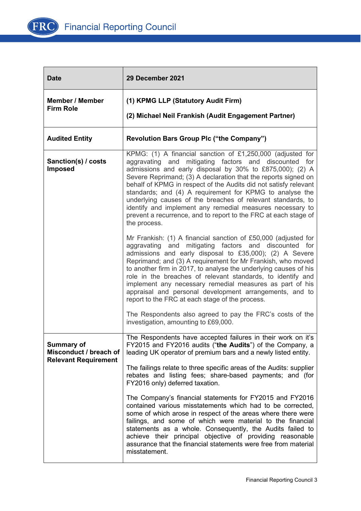

| <b>Date</b>                                                                | 29 December 2021                                                                                                                                                                                                                                                                                                                                                                                                                                                                                                                                                                                    |
|----------------------------------------------------------------------------|-----------------------------------------------------------------------------------------------------------------------------------------------------------------------------------------------------------------------------------------------------------------------------------------------------------------------------------------------------------------------------------------------------------------------------------------------------------------------------------------------------------------------------------------------------------------------------------------------------|
| <b>Member / Member</b><br><b>Firm Role</b>                                 | (1) KPMG LLP (Statutory Audit Firm)<br>(2) Michael Neil Frankish (Audit Engagement Partner)                                                                                                                                                                                                                                                                                                                                                                                                                                                                                                         |
|                                                                            |                                                                                                                                                                                                                                                                                                                                                                                                                                                                                                                                                                                                     |
| <b>Audited Entity</b>                                                      | <b>Revolution Bars Group Plc ("the Company")</b>                                                                                                                                                                                                                                                                                                                                                                                                                                                                                                                                                    |
| Sanction(s) / costs<br><b>Imposed</b>                                      | KPMG: (1) A financial sanction of £1,250,000 (adjusted for<br>aggravating and mitigating factors and<br>discounted for<br>admissions and early disposal by 30% to £875,000); (2) A<br>Severe Reprimand; (3) A declaration that the reports signed on<br>behalf of KPMG in respect of the Audits did not satisfy relevant<br>standards; and (4) A requirement for KPMG to analyse the<br>underlying causes of the breaches of relevant standards, to<br>identify and implement any remedial measures necessary to<br>prevent a recurrence, and to report to the FRC at each stage of<br>the process. |
|                                                                            | Mr Frankish: (1) A financial sanction of £50,000 (adjusted for<br>aggravating and mitigating factors and discounted for<br>admissions and early disposal to £35,000); (2) A Severe<br>Reprimand; and (3) A requirement for Mr Frankish, who moved<br>to another firm in 2017, to analyse the underlying causes of his<br>role in the breaches of relevant standards, to identify and<br>implement any necessary remedial measures as part of his<br>appraisal and personal development arrangements, and to<br>report to the FRC at each stage of the process.                                      |
|                                                                            | The Respondents also agreed to pay the FRC's costs of the<br>investigation, amounting to £69,000.                                                                                                                                                                                                                                                                                                                                                                                                                                                                                                   |
| <b>Summary of</b><br>Misconduct / breach of<br><b>Relevant Requirement</b> | The Respondents have accepted failures in their work on it's<br>FY2015 and FY2016 audits ("the Audits") of the Company, a<br>leading UK operator of premium bars and a newly listed entity.<br>The failings relate to three specific areas of the Audits: supplier<br>rebates and listing fees; share-based payments; and (for<br>FY2016 only) deferred taxation.<br>The Company's financial statements for FY2015 and FY2016<br>contained various misstatements which had to be corrected.                                                                                                         |
|                                                                            | some of which arose in respect of the areas where there were<br>failings, and some of which were material to the financial<br>statements as a whole. Consequently, the Audits failed to<br>achieve their principal objective of providing reasonable<br>assurance that the financial statements were free from material<br>misstatement.                                                                                                                                                                                                                                                            |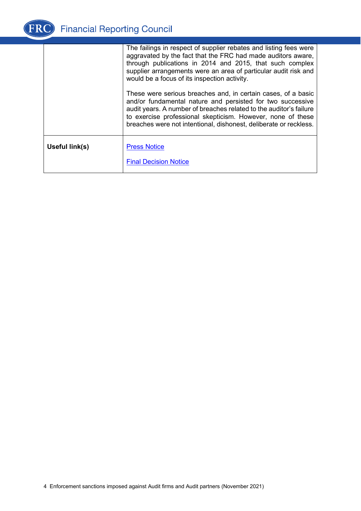

|                | The failings in respect of supplier rebates and listing fees were<br>aggravated by the fact that the FRC had made auditors aware,<br>through publications in 2014 and 2015, that such complex<br>supplier arrangements were an area of particular audit risk and<br>would be a focus of its inspection activity.                      |
|----------------|---------------------------------------------------------------------------------------------------------------------------------------------------------------------------------------------------------------------------------------------------------------------------------------------------------------------------------------|
|                | These were serious breaches and, in certain cases, of a basic<br>and/or fundamental nature and persisted for two successive<br>audit years. A number of breaches related to the auditor's failure<br>to exercise professional skepticism. However, none of these<br>breaches were not intentional, dishonest, deliberate or reckless. |
| Useful link(s) | <b>Press Notice</b><br><b>Final Decision Notice</b>                                                                                                                                                                                                                                                                                   |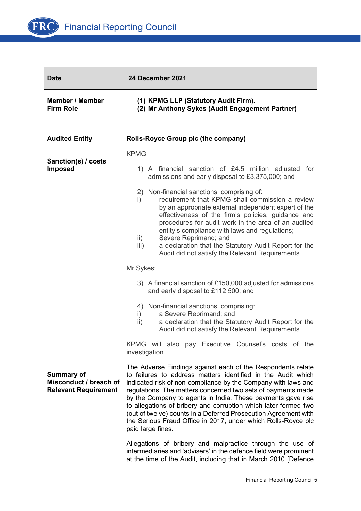

| <b>Date</b>                                                                | 24 December 2021                                                                                                                                                                                                                                                                                                                                                                                                                                                                                                                                        |
|----------------------------------------------------------------------------|---------------------------------------------------------------------------------------------------------------------------------------------------------------------------------------------------------------------------------------------------------------------------------------------------------------------------------------------------------------------------------------------------------------------------------------------------------------------------------------------------------------------------------------------------------|
| <b>Member / Member</b><br><b>Firm Role</b>                                 | (1) KPMG LLP (Statutory Audit Firm).<br>(2) Mr Anthony Sykes (Audit Engagement Partner)                                                                                                                                                                                                                                                                                                                                                                                                                                                                 |
| <b>Audited Entity</b>                                                      | Rolls-Royce Group plc (the company)                                                                                                                                                                                                                                                                                                                                                                                                                                                                                                                     |
| Sanction(s) / costs<br><b>Imposed</b>                                      | KPMG:<br>1) A financial sanction of £4.5 million adjusted for<br>admissions and early disposal to £3,375,000; and<br>2) Non-financial sanctions, comprising of:<br>requirement that KPMG shall commission a review<br>i)<br>by an appropriate external independent expert of the                                                                                                                                                                                                                                                                        |
|                                                                            | effectiveness of the firm's policies, guidance and<br>procedures for audit work in the area of an audited<br>entity's compliance with laws and regulations;<br>Severe Reprimand; and<br>$\mathsf{ii}$<br>a declaration that the Statutory Audit Report for the<br>iii)<br>Audit did not satisfy the Relevant Requirements.                                                                                                                                                                                                                              |
|                                                                            | Mr Sykes:                                                                                                                                                                                                                                                                                                                                                                                                                                                                                                                                               |
|                                                                            | 3) A financial sanction of £150,000 adjusted for admissions<br>and early disposal to £112,500; and                                                                                                                                                                                                                                                                                                                                                                                                                                                      |
|                                                                            | 4) Non-financial sanctions, comprising:<br>a Severe Reprimand; and<br>$\mathbf{i}$<br>$\mathsf{ii}$ )<br>a declaration that the Statutory Audit Report for the<br>Audit did not satisfy the Relevant Requirements.                                                                                                                                                                                                                                                                                                                                      |
|                                                                            | KPMG will also pay Executive Counsel's costs of the<br>investigation.                                                                                                                                                                                                                                                                                                                                                                                                                                                                                   |
| <b>Summary of</b><br>Misconduct / breach of<br><b>Relevant Requirement</b> | The Adverse Findings against each of the Respondents relate<br>to failures to address matters identified in the Audit which<br>indicated risk of non-compliance by the Company with laws and<br>regulations. The matters concerned two sets of payments made<br>by the Company to agents in India. These payments gave rise<br>to allegations of bribery and corruption which later formed two<br>(out of twelve) counts in a Deferred Prosecution Agreement with<br>the Serious Fraud Office in 2017, under which Rolls-Royce plc<br>paid large fines. |
|                                                                            | Allegations of bribery and malpractice through the use of<br>intermediaries and 'advisers' in the defence field were prominent<br>at the time of the Audit, including that in March 2010 [Defence                                                                                                                                                                                                                                                                                                                                                       |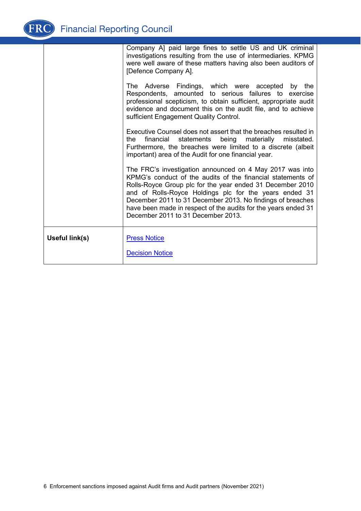

| Company A] paid large fines to settle US and UK criminal<br>investigations resulting from the use of intermediaries. KPMG<br>were well aware of these matters having also been auditors of<br>[Defence Company A].                                                                                                                                                                                                   |
|----------------------------------------------------------------------------------------------------------------------------------------------------------------------------------------------------------------------------------------------------------------------------------------------------------------------------------------------------------------------------------------------------------------------|
| The Adverse Findings, which were accepted by the<br>Respondents, amounted to serious failures to exercise<br>professional scepticism, to obtain sufficient, appropriate audit<br>evidence and document this on the audit file, and to achieve<br>sufficient Engagement Quality Control.                                                                                                                              |
| Executive Counsel does not assert that the breaches resulted in<br>being materially misstated.<br>the<br>financial<br>statements<br>Furthermore, the breaches were limited to a discrete (albeit<br>important) area of the Audit for one financial year.                                                                                                                                                             |
| The FRC's investigation announced on 4 May 2017 was into<br>KPMG's conduct of the audits of the financial statements of<br>Rolls-Royce Group plc for the year ended 31 December 2010<br>and of Rolls-Royce Holdings plc for the years ended 31<br>December 2011 to 31 December 2013. No findings of breaches<br>have been made in respect of the audits for the years ended 31<br>December 2011 to 31 December 2013. |
| <b>Press Notice</b><br><b>Decision Notice</b>                                                                                                                                                                                                                                                                                                                                                                        |
|                                                                                                                                                                                                                                                                                                                                                                                                                      |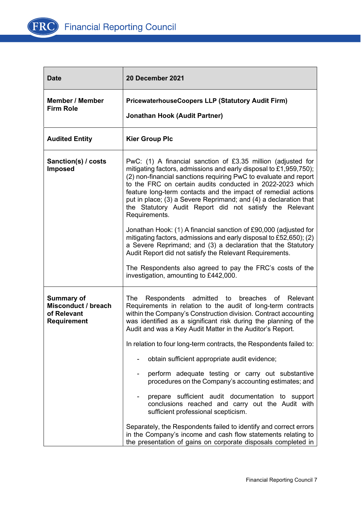

| <b>Date</b>                                                                   | 20 December 2021                                                                                                                                                                                                                                                                                                                                                                                                                                                                                                                                                                                                                                                                                                                                                                                                                                                   |
|-------------------------------------------------------------------------------|--------------------------------------------------------------------------------------------------------------------------------------------------------------------------------------------------------------------------------------------------------------------------------------------------------------------------------------------------------------------------------------------------------------------------------------------------------------------------------------------------------------------------------------------------------------------------------------------------------------------------------------------------------------------------------------------------------------------------------------------------------------------------------------------------------------------------------------------------------------------|
| <b>Member / Member</b><br><b>Firm Role</b>                                    | <b>PricewaterhouseCoopers LLP (Statutory Audit Firm)</b><br><b>Jonathan Hook (Audit Partner)</b>                                                                                                                                                                                                                                                                                                                                                                                                                                                                                                                                                                                                                                                                                                                                                                   |
| <b>Audited Entity</b>                                                         | <b>Kier Group Plc</b>                                                                                                                                                                                                                                                                                                                                                                                                                                                                                                                                                                                                                                                                                                                                                                                                                                              |
| Sanction(s) / costs<br><b>Imposed</b>                                         | PwC: (1) A financial sanction of £3.35 million (adjusted for<br>mitigating factors, admissions and early disposal to £1,959,750);<br>(2) non-financial sanctions requiring PwC to evaluate and report<br>to the FRC on certain audits conducted in 2022-2023 which<br>feature long-term contacts and the impact of remedial actions<br>put in place; (3) a Severe Reprimand; and (4) a declaration that<br>the Statutory Audit Report did not satisfy the Relevant<br>Requirements.<br>Jonathan Hook: (1) A financial sanction of £90,000 (adjusted for<br>mitigating factors, admissions and early disposal to £52,650); (2)<br>a Severe Reprimand; and (3) a declaration that the Statutory<br>Audit Report did not satisfy the Relevant Requirements.<br>The Respondents also agreed to pay the FRC's costs of the<br>investigation, amounting to £442,000.     |
| <b>Summary of</b><br>Misconduct / breach<br>of Relevant<br><b>Requirement</b> | Respondents admitted<br>breaches<br>Relevant<br>The<br>to<br>of<br>Requirements in relation to the audit of long-term contracts<br>within the Company's Construction division. Contract accounting<br>was identified as a significant risk during the planning of the<br>Audit and was a Key Audit Matter in the Auditor's Report.<br>In relation to four long-term contracts, the Respondents failed to:<br>obtain sufficient appropriate audit evidence;<br>perform adequate testing or carry out substantive<br>۰<br>procedures on the Company's accounting estimates; and<br>prepare sufficient audit documentation to support<br>conclusions reached and carry out the Audit with<br>sufficient professional scepticism.<br>Separately, the Respondents failed to identify and correct errors<br>in the Company's income and cash flow statements relating to |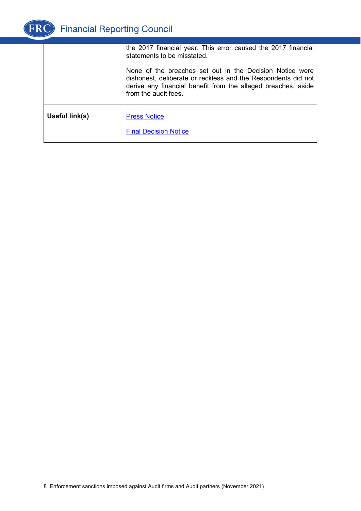

|                | the 2017 financial year. This error caused the 2017 financial<br>statements to be misstated.                                                                                                                       |
|----------------|--------------------------------------------------------------------------------------------------------------------------------------------------------------------------------------------------------------------|
|                | None of the breaches set out in the Decision Notice were<br>dishonest, deliberate or reckless and the Respondents did not<br>derive any financial benefit from the alleged breaches, aside<br>from the audit fees. |
| Useful link(s) | <b>Press Notice</b><br><b>Final Decision Notice</b>                                                                                                                                                                |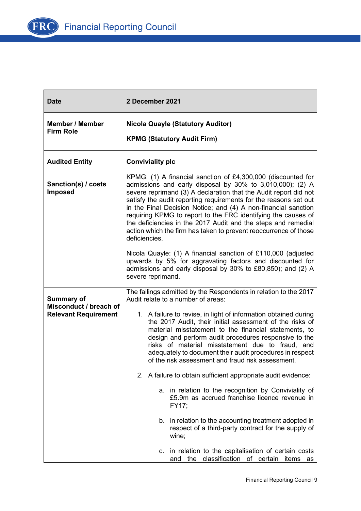

| <b>Date</b>                                                                | 2 December 2021                                                                                                                                                                                                                                                                                                                                                                                                                                                                                                                                                                                                             |
|----------------------------------------------------------------------------|-----------------------------------------------------------------------------------------------------------------------------------------------------------------------------------------------------------------------------------------------------------------------------------------------------------------------------------------------------------------------------------------------------------------------------------------------------------------------------------------------------------------------------------------------------------------------------------------------------------------------------|
| <b>Member / Member</b><br><b>Firm Role</b>                                 | <b>Nicola Quayle (Statutory Auditor)</b><br><b>KPMG (Statutory Audit Firm)</b>                                                                                                                                                                                                                                                                                                                                                                                                                                                                                                                                              |
| <b>Audited Entity</b>                                                      | <b>Conviviality plc</b>                                                                                                                                                                                                                                                                                                                                                                                                                                                                                                                                                                                                     |
| Sanction(s) / costs<br><b>Imposed</b>                                      | KPMG: (1) A financial sanction of £4,300,000 (discounted for<br>admissions and early disposal by 30% to 3,010,000); (2) A<br>severe reprimand (3) A declaration that the Audit report did not<br>satisfy the audit reporting requirements for the reasons set out<br>in the Final Decision Notice; and (4) A non-financial sanction<br>requiring KPMG to report to the FRC identifying the causes of<br>the deficiencies in the 2017 Audit and the steps and remedial<br>action which the firm has taken to prevent reoccurrence of those<br>deficiencies.<br>Nicola Quayle: (1) A financial sanction of £110,000 (adjusted |
|                                                                            | upwards by 5% for aggravating factors and discounted for<br>admissions and early disposal by 30% to £80,850); and (2) A<br>severe reprimand.                                                                                                                                                                                                                                                                                                                                                                                                                                                                                |
| <b>Summary of</b><br>Misconduct / breach of<br><b>Relevant Requirement</b> | The failings admitted by the Respondents in relation to the 2017<br>Audit relate to a number of areas:<br>1. A failure to revise, in light of information obtained during<br>the 2017 Audit, their initial assessment of the risks of<br>material misstatement to the financial statements, to<br>design and perform audit procedures responsive to the<br>risks of material misstatement due to fraud, and<br>adequately to document their audit procedures in respect<br>of the risk assessment and fraud risk assessment.                                                                                                |
|                                                                            | 2. A failure to obtain sufficient appropriate audit evidence:<br>a. in relation to the recognition by Conviviality of<br>£5.9m as accrued franchise licence revenue in<br>FY17;                                                                                                                                                                                                                                                                                                                                                                                                                                             |
|                                                                            | b. in relation to the accounting treatment adopted in<br>respect of a third-party contract for the supply of<br>wine:                                                                                                                                                                                                                                                                                                                                                                                                                                                                                                       |
|                                                                            | in relation to the capitalisation of certain costs<br>C.<br>the classification of certain<br>items<br>and<br>as                                                                                                                                                                                                                                                                                                                                                                                                                                                                                                             |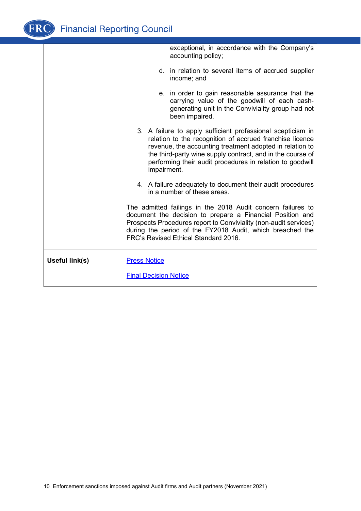| d. in relation to several items of accrued supplier                                                                                                                                                                                                                                                            |
|----------------------------------------------------------------------------------------------------------------------------------------------------------------------------------------------------------------------------------------------------------------------------------------------------------------|
| e. in order to gain reasonable assurance that the<br>carrying value of the goodwill of each cash-<br>generating unit in the Conviviality group had not                                                                                                                                                         |
| 3. A failure to apply sufficient professional scepticism in<br>relation to the recognition of accrued franchise licence<br>revenue, the accounting treatment adopted in relation to<br>the third-party wine supply contract, and in the course of<br>performing their audit procedures in relation to goodwill |
| 4. A failure adequately to document their audit procedures                                                                                                                                                                                                                                                     |
| The admitted failings in the 2018 Audit concern failures to<br>document the decision to prepare a Financial Position and<br>Prospects Procedures report to Conviviality (non-audit services)<br>during the period of the FY2018 Audit, which breached the                                                      |
|                                                                                                                                                                                                                                                                                                                |
|                                                                                                                                                                                                                                                                                                                |
|                                                                                                                                                                                                                                                                                                                |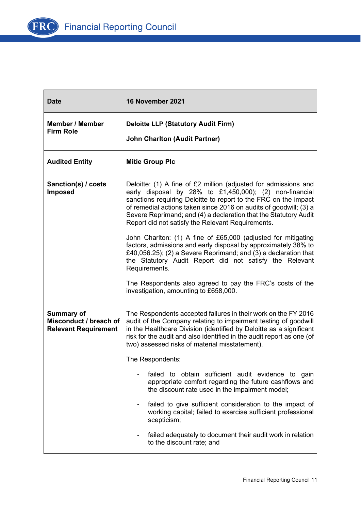

| <b>Date</b>                                                                | 16 November 2021                                                                                                                                                                                                                                                                                                                                                                            |
|----------------------------------------------------------------------------|---------------------------------------------------------------------------------------------------------------------------------------------------------------------------------------------------------------------------------------------------------------------------------------------------------------------------------------------------------------------------------------------|
| <b>Member / Member</b><br><b>Firm Role</b>                                 | <b>Deloitte LLP (Statutory Audit Firm)</b><br><b>John Charlton (Audit Partner)</b>                                                                                                                                                                                                                                                                                                          |
| <b>Audited Entity</b>                                                      | <b>Mitie Group Plc</b>                                                                                                                                                                                                                                                                                                                                                                      |
| Sanction(s) / costs<br><b>Imposed</b>                                      | Deloitte: (1) A fine of £2 million (adjusted for admissions and<br>early disposal by 28% to £1,450,000); (2) non-financial<br>sanctions requiring Deloitte to report to the FRC on the impact<br>of remedial actions taken since 2016 on audits of goodwill; (3) a<br>Severe Reprimand; and (4) a declaration that the Statutory Audit<br>Report did not satisfy the Relevant Requirements. |
|                                                                            | John Charlton: (1) A fine of £65,000 (adjusted for mitigating<br>factors, admissions and early disposal by approximately 38% to<br>£40,056.25); (2) a Severe Reprimand; and (3) a declaration that<br>the Statutory Audit Report did not satisfy the Relevant<br>Requirements.                                                                                                              |
|                                                                            | The Respondents also agreed to pay the FRC's costs of the<br>investigation, amounting to £658,000.                                                                                                                                                                                                                                                                                          |
| <b>Summary of</b><br>Misconduct / breach of<br><b>Relevant Requirement</b> | The Respondents accepted failures in their work on the FY 2016<br>audit of the Company relating to impairment testing of goodwill<br>in the Healthcare Division (identified by Deloitte as a significant<br>risk for the audit and also identified in the audit report as one (of<br>two) assessed risks of material misstatement).                                                         |
|                                                                            | The Respondents:                                                                                                                                                                                                                                                                                                                                                                            |
|                                                                            | failed to obtain sufficient audit evidence to gain<br>appropriate comfort regarding the future cashflows and<br>the discount rate used in the impairment model;                                                                                                                                                                                                                             |
|                                                                            | failed to give sufficient consideration to the impact of<br>working capital; failed to exercise sufficient professional<br>scepticism;                                                                                                                                                                                                                                                      |
|                                                                            | failed adequately to document their audit work in relation<br>to the discount rate; and                                                                                                                                                                                                                                                                                                     |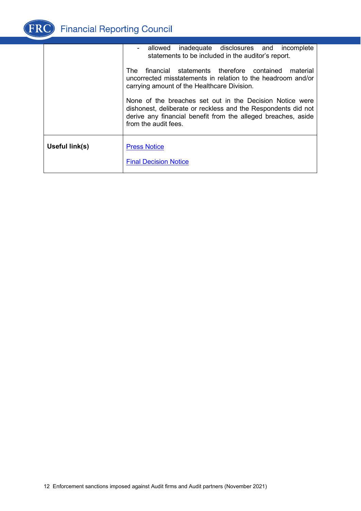

|                | - allowed inadequate disclosures and incomplete<br>statements to be included in the auditor's report.                                                                                                                                                                                                                                                                 |
|----------------|-----------------------------------------------------------------------------------------------------------------------------------------------------------------------------------------------------------------------------------------------------------------------------------------------------------------------------------------------------------------------|
|                | financial statements therefore contained material<br>The<br>uncorrected misstatements in relation to the headroom and/or<br>carrying amount of the Healthcare Division.<br>None of the breaches set out in the Decision Notice were<br>dishonest, deliberate or reckless and the Respondents did not<br>derive any financial benefit from the alleged breaches, aside |
|                | from the audit fees.                                                                                                                                                                                                                                                                                                                                                  |
| Useful link(s) | <b>Press Notice</b>                                                                                                                                                                                                                                                                                                                                                   |
|                | <b>Final Decision Notice</b>                                                                                                                                                                                                                                                                                                                                          |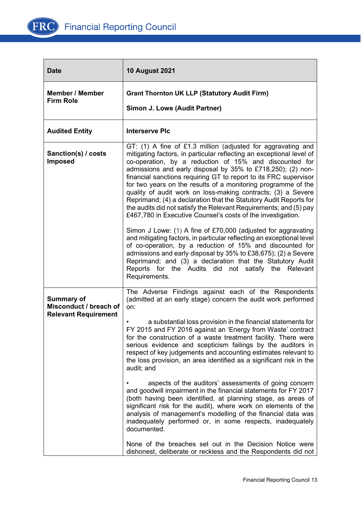

| <b>Date</b>                                                                | <b>10 August 2021</b>                                                                                                                                                                                                                                                                                                                                                                                                                                                                                                                                                                                                                                                                                                                        |
|----------------------------------------------------------------------------|----------------------------------------------------------------------------------------------------------------------------------------------------------------------------------------------------------------------------------------------------------------------------------------------------------------------------------------------------------------------------------------------------------------------------------------------------------------------------------------------------------------------------------------------------------------------------------------------------------------------------------------------------------------------------------------------------------------------------------------------|
| <b>Member / Member</b><br><b>Firm Role</b>                                 | <b>Grant Thornton UK LLP (Statutory Audit Firm)</b><br>Simon J. Lowe (Audit Partner)                                                                                                                                                                                                                                                                                                                                                                                                                                                                                                                                                                                                                                                         |
| <b>Audited Entity</b>                                                      | <b>Interserve PIc</b>                                                                                                                                                                                                                                                                                                                                                                                                                                                                                                                                                                                                                                                                                                                        |
| Sanction(s) / costs<br><b>Imposed</b>                                      | GT: (1) A fine of £1.3 million (adjusted for aggravating and<br>mitigating factors, in particular reflecting an exceptional level of<br>co-operation, by a reduction of 15% and discounted for<br>admissions and early disposal by 35% to £718,250); (2) non-<br>financial sanctions requiring GT to report to its FRC supervisor<br>for two years on the results of a monitoring programme of the<br>quality of audit work on loss-making contracts; (3) a Severe<br>Reprimand; (4) a declaration that the Statutory Audit Reports for<br>the audits did not satisfy the Relevant Requirements; and (5) pay<br>£467,780 in Executive Counsel's costs of the investigation.<br>Simon J Lowe: (1) A fine of £70,000 (adjusted for aggravating |
|                                                                            | and mitigating factors, in particular reflecting an exceptional level<br>of co-operation, by a reduction of 15% and discounted for<br>admissions and early disposal by 35% to £38,675); (2) a Severe<br>Reprimand; and (3) a declaration that the Statutory Audit<br>Reports for the Audits did not satisfy the Relevant<br>Requirements.                                                                                                                                                                                                                                                                                                                                                                                                    |
| <b>Summary of</b><br>Misconduct / breach of<br><b>Relevant Requirement</b> | The Adverse Findings against each of the Respondents<br>(admitted at an early stage) concern the audit work performed<br>on:                                                                                                                                                                                                                                                                                                                                                                                                                                                                                                                                                                                                                 |
|                                                                            | a substantial loss provision in the financial statements for<br>FY 2015 and FY 2016 against an 'Energy from Waste' contract<br>for the construction of a waste treatment facility. There were<br>serious evidence and scepticism failings by the auditors in<br>respect of key judgements and accounting estimates relevant to<br>the loss provision, an area identified as a significant risk in the<br>audit; and                                                                                                                                                                                                                                                                                                                          |
|                                                                            | aspects of the auditors' assessments of going concern<br>and goodwill impairment in the financial statements for FY 2017<br>(both having been identified, at planning stage, as areas of<br>significant risk for the audit), where work on elements of the<br>analysis of management's modelling of the financial data was<br>inadequately performed or, in some respects, inadequately<br>documented.                                                                                                                                                                                                                                                                                                                                       |
|                                                                            | None of the breaches set out in the Decision Notice were<br>dishonest, deliberate or reckless and the Respondents did not                                                                                                                                                                                                                                                                                                                                                                                                                                                                                                                                                                                                                    |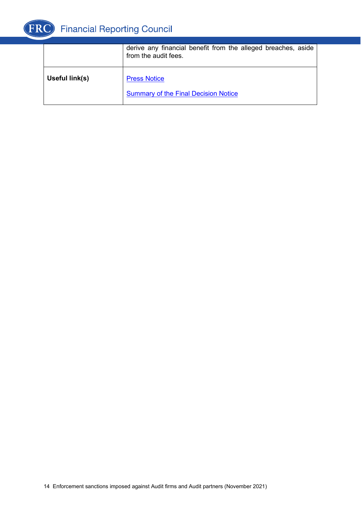

|                | derive any financial benefit from the alleged breaches, aside<br>from the audit fees. |
|----------------|---------------------------------------------------------------------------------------|
| Useful link(s) | <b>Press Notice</b><br><b>Summary of the Final Decision Notice</b>                    |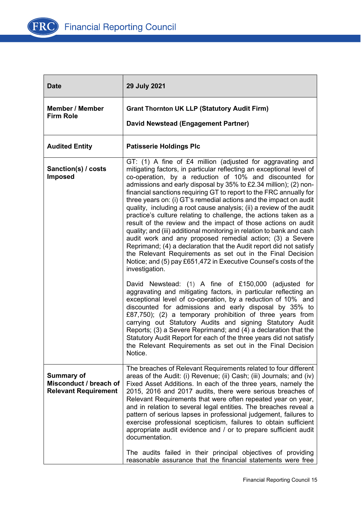

| <b>Date</b>                                                                | 29 July 2021                                                                                                                                                                                                                                                                                                                                                                                                                                                                                                                                                                                                                                                                                                                                                                                                                                                                                                                                                                                                                                                                                                                                                                                                                                                                                               |
|----------------------------------------------------------------------------|------------------------------------------------------------------------------------------------------------------------------------------------------------------------------------------------------------------------------------------------------------------------------------------------------------------------------------------------------------------------------------------------------------------------------------------------------------------------------------------------------------------------------------------------------------------------------------------------------------------------------------------------------------------------------------------------------------------------------------------------------------------------------------------------------------------------------------------------------------------------------------------------------------------------------------------------------------------------------------------------------------------------------------------------------------------------------------------------------------------------------------------------------------------------------------------------------------------------------------------------------------------------------------------------------------|
| <b>Member / Member</b><br><b>Firm Role</b>                                 | <b>Grant Thornton UK LLP (Statutory Audit Firm)</b><br>David Newstead (Engagement Partner)                                                                                                                                                                                                                                                                                                                                                                                                                                                                                                                                                                                                                                                                                                                                                                                                                                                                                                                                                                                                                                                                                                                                                                                                                 |
| <b>Audited Entity</b>                                                      | <b>Patisserie Holdings Plc</b>                                                                                                                                                                                                                                                                                                                                                                                                                                                                                                                                                                                                                                                                                                                                                                                                                                                                                                                                                                                                                                                                                                                                                                                                                                                                             |
| Sanction(s) / costs<br><b>Imposed</b>                                      | GT: (1) A fine of £4 million (adjusted for aggravating and<br>mitigating factors, in particular reflecting an exceptional level of<br>co-operation, by a reduction of 10% and discounted for<br>admissions and early disposal by 35% to £2.34 million); (2) non-<br>financial sanctions requiring GT to report to the FRC annually for<br>three years on: (i) GT's remedial actions and the impact on audit<br>quality, including a root cause analysis; (ii) a review of the audit<br>practice's culture relating to challenge, the actions taken as a<br>result of the review and the impact of those actions on audit<br>quality; and (iii) additional monitoring in relation to bank and cash<br>audit work and any proposed remedial action; (3) a Severe<br>Reprimand; (4) a declaration that the Audit report did not satisfy<br>the Relevant Requirements as set out in the Final Decision<br>Notice; and (5) pay £651,472 in Executive Counsel's costs of the<br>investigation.<br>David Newstead: (1) A fine of £150,000 (adjusted for<br>aggravating and mitigating factors, in particular reflecting an<br>exceptional level of co-operation, by a reduction of 10% and<br>discounted for admissions and early disposal by 35% to<br>£87,750); (2) a temporary prohibition of three years from |
|                                                                            | carrying out Statutory Audits and signing Statutory Audit<br>Reports; (3) a Severe Reprimand; and (4) a declaration that the<br>Statutory Audit Report for each of the three years did not satisfy<br>the Relevant Requirements as set out in the Final Decision<br>Notice.                                                                                                                                                                                                                                                                                                                                                                                                                                                                                                                                                                                                                                                                                                                                                                                                                                                                                                                                                                                                                                |
| <b>Summary of</b><br>Misconduct / breach of<br><b>Relevant Requirement</b> | The breaches of Relevant Requirements related to four different<br>areas of the Audit: (i) Revenue; (ii) Cash; (iii) Journals; and (iv)<br>Fixed Asset Additions. In each of the three years, namely the<br>2015, 2016 and 2017 audits, there were serious breaches of<br>Relevant Requirements that were often repeated year on year,<br>and in relation to several legal entities. The breaches reveal a<br>pattern of serious lapses in professional judgement, failures to<br>exercise professional scepticism, failures to obtain sufficient<br>appropriate audit evidence and / or to prepare sufficient audit<br>documentation.                                                                                                                                                                                                                                                                                                                                                                                                                                                                                                                                                                                                                                                                     |
|                                                                            | The audits failed in their principal objectives of providing<br>reasonable assurance that the financial statements were free                                                                                                                                                                                                                                                                                                                                                                                                                                                                                                                                                                                                                                                                                                                                                                                                                                                                                                                                                                                                                                                                                                                                                                               |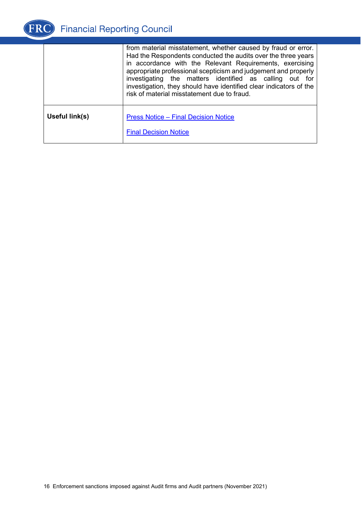

|                | from material misstatement, whether caused by fraud or error.<br>Had the Respondents conducted the audits over the three years<br>in accordance with the Relevant Requirements, exercising<br>appropriate professional scepticism and judgement and properly<br>investigating the matters identified as calling out for<br>investigation, they should have identified clear indicators of the<br>risk of material misstatement due to fraud. |
|----------------|----------------------------------------------------------------------------------------------------------------------------------------------------------------------------------------------------------------------------------------------------------------------------------------------------------------------------------------------------------------------------------------------------------------------------------------------|
| Useful link(s) | <b>Press Notice - Final Decision Notice</b><br><b>Final Decision Notice</b>                                                                                                                                                                                                                                                                                                                                                                  |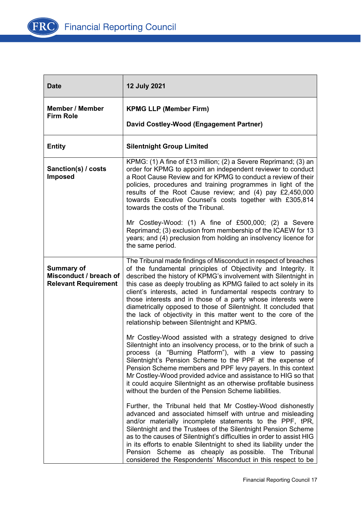

| <b>Date</b>                                                                | <b>12 July 2021</b>                                                                                                                                                                                                                                                                                                                                                                                                                                                                                                                                                                            |
|----------------------------------------------------------------------------|------------------------------------------------------------------------------------------------------------------------------------------------------------------------------------------------------------------------------------------------------------------------------------------------------------------------------------------------------------------------------------------------------------------------------------------------------------------------------------------------------------------------------------------------------------------------------------------------|
| <b>Member / Member</b><br><b>Firm Role</b>                                 | <b>KPMG LLP (Member Firm)</b><br>David Costley-Wood (Engagement Partner)                                                                                                                                                                                                                                                                                                                                                                                                                                                                                                                       |
| <b>Entity</b>                                                              | <b>Silentnight Group Limited</b>                                                                                                                                                                                                                                                                                                                                                                                                                                                                                                                                                               |
| Sanction(s) / costs<br><b>Imposed</b>                                      | KPMG: (1) A fine of £13 million; (2) a Severe Reprimand; (3) an<br>order for KPMG to appoint an independent reviewer to conduct<br>a Root Cause Review and for KPMG to conduct a review of their<br>policies, procedures and training programmes in light of the<br>results of the Root Cause review; and (4) pay £2,450,000<br>towards Executive Counsel's costs together with £305,814<br>towards the costs of the Tribunal.                                                                                                                                                                 |
|                                                                            | Mr Costley-Wood: (1) A fine of £500,000; (2) a Severe<br>Reprimand; (3) exclusion from membership of the ICAEW for 13<br>years; and (4) preclusion from holding an insolvency licence for<br>the same period.                                                                                                                                                                                                                                                                                                                                                                                  |
| <b>Summary of</b><br>Misconduct / breach of<br><b>Relevant Requirement</b> | The Tribunal made findings of Misconduct in respect of breaches<br>of the fundamental principles of Objectivity and Integrity. It<br>described the history of KPMG's involvement with Silentnight in<br>this case as deeply troubling as KPMG failed to act solely in its<br>client's interests, acted in fundamental respects contrary to<br>those interests and in those of a party whose interests were<br>diametrically opposed to those of Silentnight. It concluded that<br>the lack of objectivity in this matter went to the core of the<br>relationship between Silentnight and KPMG. |
|                                                                            | Mr Costley-Wood assisted with a strategy designed to drive<br>Silentnight into an insolvency process, or to the brink of such a<br>process (a "Burning Platform"), with a view to passing<br>Silentnight's Pension Scheme to the PPF at the expense of<br>Pension Scheme members and PPF levy payers. In this context<br>Mr Costley-Wood provided advice and assistance to HIG so that<br>it could acquire Silentnight as an otherwise profitable business<br>without the burden of the Pension Scheme liabilities.                                                                            |
|                                                                            | Further, the Tribunal held that Mr Costley-Wood dishonestly<br>advanced and associated himself with untrue and misleading<br>and/or materially incomplete statements to the PPF, tPR,<br>Silentnight and the Trustees of the Silentnight Pension Scheme<br>as to the causes of Silentnight's difficulties in order to assist HIG<br>in its efforts to enable Silentnight to shed its liability under the<br>Pension Scheme as cheaply as possible. The Tribunal<br>considered the Respondents' Misconduct in this respect to be                                                                |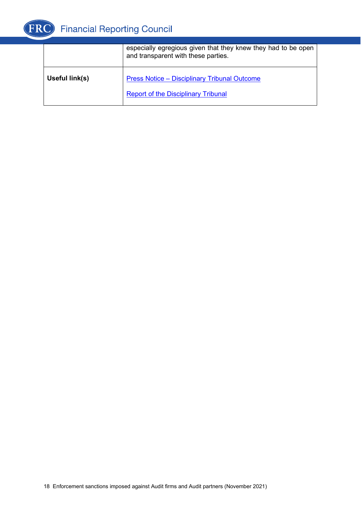

|                | especially egregious given that they knew they had to be open<br>and transparent with these parties. |
|----------------|------------------------------------------------------------------------------------------------------|
| Useful link(s) | <b>Press Notice - Disciplinary Tribunal Outcome</b><br><b>Report of the Disciplinary Tribunal</b>    |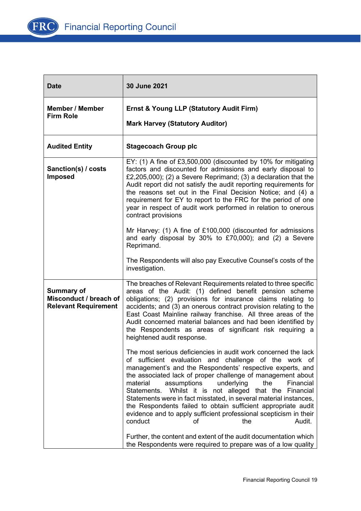

| <b>Date</b>                                                                | 30 June 2021                                                                                                                                                                                                                                                                                                                                                                                                                                                                                                                                                                                                                |
|----------------------------------------------------------------------------|-----------------------------------------------------------------------------------------------------------------------------------------------------------------------------------------------------------------------------------------------------------------------------------------------------------------------------------------------------------------------------------------------------------------------------------------------------------------------------------------------------------------------------------------------------------------------------------------------------------------------------|
| <b>Member / Member</b><br><b>Firm Role</b>                                 | <b>Ernst &amp; Young LLP (Statutory Audit Firm)</b><br><b>Mark Harvey (Statutory Auditor)</b>                                                                                                                                                                                                                                                                                                                                                                                                                                                                                                                               |
| <b>Audited Entity</b>                                                      | <b>Stagecoach Group plc</b>                                                                                                                                                                                                                                                                                                                                                                                                                                                                                                                                                                                                 |
| Sanction(s) / costs<br><b>Imposed</b>                                      | EY: (1) A fine of £3,500,000 (discounted by 10% for mitigating<br>factors and discounted for admissions and early disposal to<br>£2,205,000); (2) a Severe Reprimand; (3) a declaration that the<br>Audit report did not satisfy the audit reporting requirements for<br>the reasons set out in the Final Decision Notice; and (4) a<br>requirement for EY to report to the FRC for the period of one<br>year in respect of audit work performed in relation to onerous<br>contract provisions                                                                                                                              |
|                                                                            | Mr Harvey: (1) A fine of £100,000 (discounted for admissions<br>and early disposal by 30% to £70,000); and (2) a Severe<br>Reprimand.                                                                                                                                                                                                                                                                                                                                                                                                                                                                                       |
|                                                                            | The Respondents will also pay Executive Counsel's costs of the<br>investigation.                                                                                                                                                                                                                                                                                                                                                                                                                                                                                                                                            |
| <b>Summary of</b><br>Misconduct / breach of<br><b>Relevant Requirement</b> | The breaches of Relevant Requirements related to three specific<br>areas of the Audit: (1) defined benefit pension scheme<br>obligations; (2) provisions for insurance claims relating to<br>accidents; and (3) an onerous contract provision relating to the<br>East Coast Mainline railway franchise. All three areas of the<br>Audit concerned material balances and had been identified by<br>the Respondents as areas of significant risk requiring a<br>heightened audit response.                                                                                                                                    |
|                                                                            | The most serious deficiencies in audit work concerned the lack<br>of sufficient evaluation and challenge of the work of<br>management's and the Respondents' respective experts, and<br>the associated lack of proper challenge of management about<br>the<br>assumptions<br>underlying<br>Financial<br>material<br>Whilst it is not alleged that the Financial<br>Statements.<br>Statements were in fact misstated, in several material instances,<br>the Respondents failed to obtain sufficient appropriate audit<br>evidence and to apply sufficient professional scepticism in their<br>Audit.<br>conduct<br>the<br>οf |
|                                                                            | Further, the content and extent of the audit documentation which<br>the Respondents were required to prepare was of a low quality                                                                                                                                                                                                                                                                                                                                                                                                                                                                                           |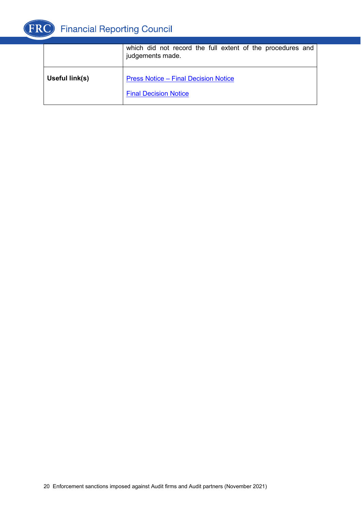

|                | which did not record the full extent of the procedures and<br>judgements made. |
|----------------|--------------------------------------------------------------------------------|
| Useful link(s) | <b>Press Notice - Final Decision Notice</b><br><b>Final Decision Notice</b>    |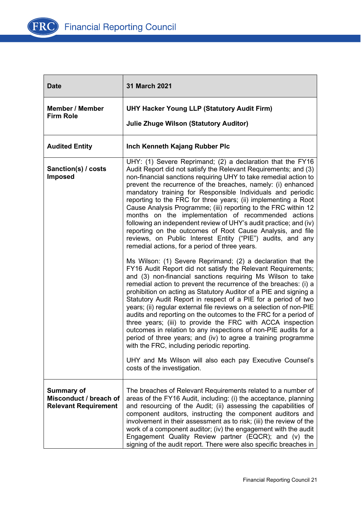

| <b>Date</b>                                                                | 31 March 2021                                                                                                                                                                                                                                                                                                                                                                                                                                                                                                                                                                                                                                                                                                                                                                                                                                                                               |
|----------------------------------------------------------------------------|---------------------------------------------------------------------------------------------------------------------------------------------------------------------------------------------------------------------------------------------------------------------------------------------------------------------------------------------------------------------------------------------------------------------------------------------------------------------------------------------------------------------------------------------------------------------------------------------------------------------------------------------------------------------------------------------------------------------------------------------------------------------------------------------------------------------------------------------------------------------------------------------|
| <b>Member / Member</b><br><b>Firm Role</b>                                 | <b>UHY Hacker Young LLP (Statutory Audit Firm)</b><br><b>Julie Zhuge Wilson (Statutory Auditor)</b>                                                                                                                                                                                                                                                                                                                                                                                                                                                                                                                                                                                                                                                                                                                                                                                         |
| <b>Audited Entity</b>                                                      | Inch Kenneth Kajang Rubber Plc                                                                                                                                                                                                                                                                                                                                                                                                                                                                                                                                                                                                                                                                                                                                                                                                                                                              |
| Sanction(s) / costs<br><b>Imposed</b>                                      | UHY: (1) Severe Reprimand; (2) a declaration that the FY16<br>Audit Report did not satisfy the Relevant Requirements; and (3)<br>non-financial sanctions requiring UHY to take remedial action to<br>prevent the recurrence of the breaches, namely: (i) enhanced<br>mandatory training for Responsible Individuals and periodic<br>reporting to the FRC for three years; (ii) implementing a Root<br>Cause Analysis Programme; (iii) reporting to the FRC within 12<br>months on the implementation of recommended actions<br>following an independent review of UHY's audit practice; and (iv)<br>reporting on the outcomes of Root Cause Analysis, and file<br>reviews, on Public Interest Entity ("PIE") audits, and any<br>remedial actions, for a period of three years.                                                                                                              |
|                                                                            | Ms Wilson: (1) Severe Reprimand; (2) a declaration that the<br>FY16 Audit Report did not satisfy the Relevant Requirements;<br>and (3) non-financial sanctions requiring Ms Wilson to take<br>remedial action to prevent the recurrence of the breaches: (i) a<br>prohibition on acting as Statutory Auditor of a PIE and signing a<br>Statutory Audit Report in respect of a PIE for a period of two<br>years; (ii) regular external file reviews on a selection of non-PIE<br>audits and reporting on the outcomes to the FRC for a period of<br>three years; (iii) to provide the FRC with ACCA inspection<br>outcomes in relation to any inspections of non-PIE audits for a<br>period of three years; and (iv) to agree a training programme<br>with the FRC, including periodic reporting.<br>UHY and Ms Wilson will also each pay Executive Counsel's<br>costs of the investigation. |
| <b>Summary of</b><br>Misconduct / breach of<br><b>Relevant Requirement</b> | The breaches of Relevant Requirements related to a number of<br>areas of the FY16 Audit, including: (i) the acceptance, planning<br>and resourcing of the Audit; (ii) assessing the capabilities of<br>component auditors, instructing the component auditors and<br>involvement in their assessment as to risk; (iii) the review of the<br>work of a component auditor; (iv) the engagement with the audit<br>Engagement Quality Review partner (EQCR); and (v) the<br>signing of the audit report. There were also specific breaches in                                                                                                                                                                                                                                                                                                                                                   |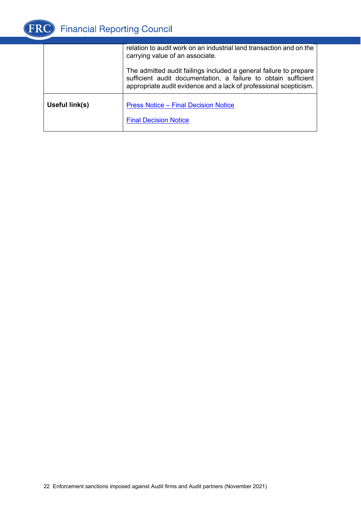

|                | relation to audit work on an industrial land transaction and on the<br>carrying value of an associate.                                                                                                   |
|----------------|----------------------------------------------------------------------------------------------------------------------------------------------------------------------------------------------------------|
|                | The admitted audit failings included a general failure to prepare<br>sufficient audit documentation, a failure to obtain sufficient<br>appropriate audit evidence and a lack of professional scepticism. |
| Useful link(s) | <b>Press Notice - Final Decision Notice</b><br><b>Final Decision Notice</b>                                                                                                                              |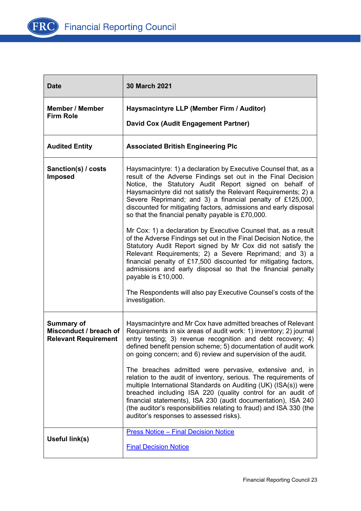

| <b>Date</b>                                                                | <b>30 March 2021</b>                                                                                                                                                                                                                                                                                                                                                                                                                                                                                                                                                                                                                                    |
|----------------------------------------------------------------------------|---------------------------------------------------------------------------------------------------------------------------------------------------------------------------------------------------------------------------------------------------------------------------------------------------------------------------------------------------------------------------------------------------------------------------------------------------------------------------------------------------------------------------------------------------------------------------------------------------------------------------------------------------------|
| <b>Member / Member</b><br><b>Firm Role</b>                                 | Haysmacintyre LLP (Member Firm / Auditor)<br>David Cox (Audit Engagement Partner)                                                                                                                                                                                                                                                                                                                                                                                                                                                                                                                                                                       |
| <b>Audited Entity</b>                                                      | <b>Associated British Engineering Plc</b>                                                                                                                                                                                                                                                                                                                                                                                                                                                                                                                                                                                                               |
| Sanction(s) / costs<br><b>Imposed</b>                                      | Haysmacintyre: 1) a declaration by Executive Counsel that, as a<br>result of the Adverse Findings set out in the Final Decision<br>Notice, the Statutory Audit Report signed on behalf of<br>Haysmacintyre did not satisfy the Relevant Requirements; 2) a<br>Severe Reprimand; and 3) a financial penalty of £125,000,<br>discounted for mitigating factors, admissions and early disposal<br>so that the financial penalty payable is £70,000.<br>Mr Cox: 1) a declaration by Executive Counsel that, as a result<br>of the Adverse Findings set out in the Final Decision Notice, the<br>Statutory Audit Report signed by Mr Cox did not satisfy the |
|                                                                            | Relevant Requirements; 2) a Severe Reprimand; and 3) a<br>financial penalty of £17,500 discounted for mitigating factors,<br>admissions and early disposal so that the financial penalty<br>payable is £10,000.<br>The Respondents will also pay Executive Counsel's costs of the<br>investigation.                                                                                                                                                                                                                                                                                                                                                     |
| <b>Summary of</b><br>Misconduct / breach of<br><b>Relevant Requirement</b> | Haysmacintyre and Mr Cox have admitted breaches of Relevant<br>Requirements in six areas of audit work: 1) inventory; 2) journal<br>entry testing; 3) revenue recognition and debt recovery; 4)<br>defined benefit pension scheme; 5) documentation of audit work<br>on going concern; and 6) review and supervision of the audit.                                                                                                                                                                                                                                                                                                                      |
|                                                                            | The breaches admitted were pervasive, extensive and, in<br>relation to the audit of inventory, serious. The requirements of<br>multiple International Standards on Auditing (UK) (ISA(s)) were<br>breached including ISA 220 (quality control for an audit of<br>financial statements), ISA 230 (audit documentation), ISA 240<br>(the auditor's responsibilities relating to fraud) and ISA 330 (the<br>auditor's responses to assessed risks).                                                                                                                                                                                                        |
| Useful link(s)                                                             | <b>Press Notice - Final Decision Notice</b><br><b>Final Decision Notice</b>                                                                                                                                                                                                                                                                                                                                                                                                                                                                                                                                                                             |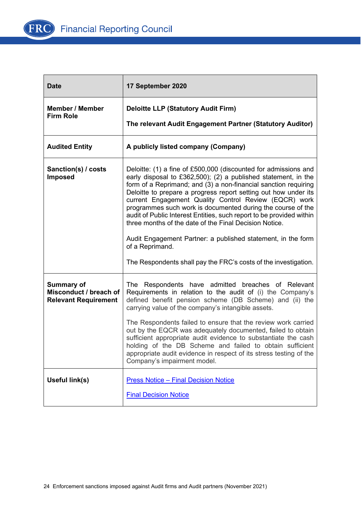

| <b>Date</b>                                                                | 17 September 2020                                                                                                                                                                                                                                                                                                                                                                                                                                                                                                                                                                                                                                                                       |
|----------------------------------------------------------------------------|-----------------------------------------------------------------------------------------------------------------------------------------------------------------------------------------------------------------------------------------------------------------------------------------------------------------------------------------------------------------------------------------------------------------------------------------------------------------------------------------------------------------------------------------------------------------------------------------------------------------------------------------------------------------------------------------|
| <b>Member / Member</b><br><b>Firm Role</b>                                 | <b>Deloitte LLP (Statutory Audit Firm)</b><br>The relevant Audit Engagement Partner (Statutory Auditor)                                                                                                                                                                                                                                                                                                                                                                                                                                                                                                                                                                                 |
| <b>Audited Entity</b>                                                      | A publicly listed company (Company)                                                                                                                                                                                                                                                                                                                                                                                                                                                                                                                                                                                                                                                     |
| Sanction(s) / costs<br><b>Imposed</b>                                      | Deloitte: (1) a fine of £500,000 (discounted for admissions and<br>early disposal to £362,500); (2) a published statement, in the<br>form of a Reprimand; and (3) a non-financial sanction requiring<br>Deloitte to prepare a progress report setting out how under its<br>current Engagement Quality Control Review (EQCR) work<br>programmes such work is documented during the course of the<br>audit of Public Interest Entities, such report to be provided within<br>three months of the date of the Final Decision Notice.<br>Audit Engagement Partner: a published statement, in the form<br>of a Reprimand.<br>The Respondents shall pay the FRC's costs of the investigation. |
| <b>Summary of</b><br>Misconduct / breach of<br><b>Relevant Requirement</b> | The Respondents have admitted breaches of Relevant<br>Requirements in relation to the audit of (i) the Company's<br>defined benefit pension scheme (DB Scheme) and (ii) the<br>carrying value of the company's intangible assets.<br>The Respondents failed to ensure that the review work carried<br>out by the EQCR was adequately documented, failed to obtain<br>sufficient appropriate audit evidence to substantiate the cash<br>holding of the DB Scheme and failed to obtain sufficient<br>appropriate audit evidence in respect of its stress testing of the<br>Company's impairment model.                                                                                    |
| Useful link(s)                                                             | <b>Press Notice - Final Decision Notice</b><br><b>Final Decision Notice</b>                                                                                                                                                                                                                                                                                                                                                                                                                                                                                                                                                                                                             |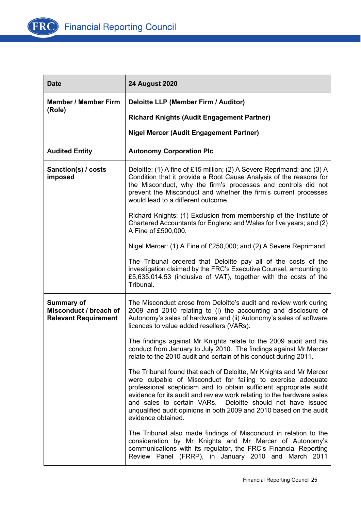

| <b>Date</b>                                                                | <b>24 August 2020</b>                                                                                                                                                                                                                                                                                                                                                                                                                        |
|----------------------------------------------------------------------------|----------------------------------------------------------------------------------------------------------------------------------------------------------------------------------------------------------------------------------------------------------------------------------------------------------------------------------------------------------------------------------------------------------------------------------------------|
| <b>Member / Member Firm</b>                                                | Deloitte LLP (Member Firm / Auditor)                                                                                                                                                                                                                                                                                                                                                                                                         |
| (Role)                                                                     | <b>Richard Knights (Audit Engagement Partner)</b>                                                                                                                                                                                                                                                                                                                                                                                            |
|                                                                            | <b>Nigel Mercer (Audit Engagement Partner)</b>                                                                                                                                                                                                                                                                                                                                                                                               |
| <b>Audited Entity</b>                                                      | <b>Autonomy Corporation Plc</b>                                                                                                                                                                                                                                                                                                                                                                                                              |
| Sanction(s) / costs<br>imposed                                             | Deloitte: (1) A fine of £15 million; (2) A Severe Reprimand; and (3) A<br>Condition that it provide a Root Cause Analysis of the reasons for<br>the Misconduct, why the firm's processes and controls did not<br>prevent the Misconduct and whether the firm's current processes<br>would lead to a different outcome.                                                                                                                       |
|                                                                            | Richard Knights: (1) Exclusion from membership of the Institute of<br>Chartered Accountants for England and Wales for five years; and (2)<br>A Fine of £500,000.                                                                                                                                                                                                                                                                             |
|                                                                            | Nigel Mercer: (1) A Fine of £250,000; and (2) A Severe Reprimand.                                                                                                                                                                                                                                                                                                                                                                            |
|                                                                            | The Tribunal ordered that Deloitte pay all of the costs of the<br>investigation claimed by the FRC's Executive Counsel, amounting to<br>£5,635,014.53 (inclusive of VAT), together with the costs of the<br>Tribunal.                                                                                                                                                                                                                        |
| <b>Summary of</b><br>Misconduct / breach of<br><b>Relevant Requirement</b> | The Misconduct arose from Deloitte's audit and review work during<br>2009 and 2010 relating to (i) the accounting and disclosure of<br>Autonomy's sales of hardware and (ii) Autonomy's sales of software<br>licences to value added resellers (VARs).                                                                                                                                                                                       |
|                                                                            | The findings against Mr Knights relate to the 2009 audit and his<br>conduct from January to July 2010. The findings against Mr Mercer<br>relate to the 2010 audit and certain of his conduct during 2011.                                                                                                                                                                                                                                    |
|                                                                            | The Tribunal found that each of Deloitte, Mr Knights and Mr Mercer<br>were culpable of Misconduct for failing to exercise adequate<br>professional scepticism and to obtain sufficient appropriate audit<br>evidence for its audit and review work relating to the hardware sales<br>and sales to certain VARs. Deloitte should not have issued<br>unqualified audit opinions in both 2009 and 2010 based on the audit<br>evidence obtained. |
|                                                                            | The Tribunal also made findings of Misconduct in relation to the<br>consideration by Mr Knights and Mr Mercer of Autonomy's<br>communications with its regulator, the FRC's Financial Reporting<br>Review Panel (FRRP), in January 2010 and March 2011                                                                                                                                                                                       |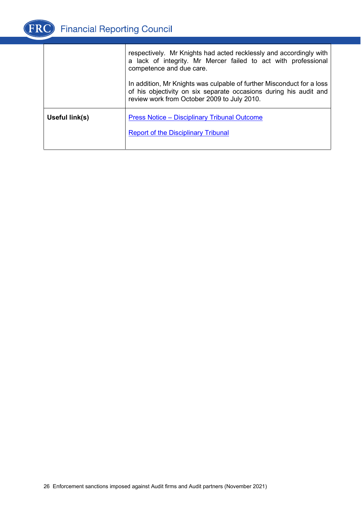

|                | respectively. Mr Knights had acted recklessly and accordingly with<br>a lack of integrity. Mr Mercer failed to act with professional<br>competence and due care.<br>In addition, Mr Knights was culpable of further Misconduct for a loss<br>of his objectivity on six separate occasions during his audit and<br>review work from October 2009 to July 2010. |
|----------------|---------------------------------------------------------------------------------------------------------------------------------------------------------------------------------------------------------------------------------------------------------------------------------------------------------------------------------------------------------------|
| Useful link(s) | <b>Press Notice – Disciplinary Tribunal Outcome</b>                                                                                                                                                                                                                                                                                                           |
|                | <b>Report of the Disciplinary Tribunal</b>                                                                                                                                                                                                                                                                                                                    |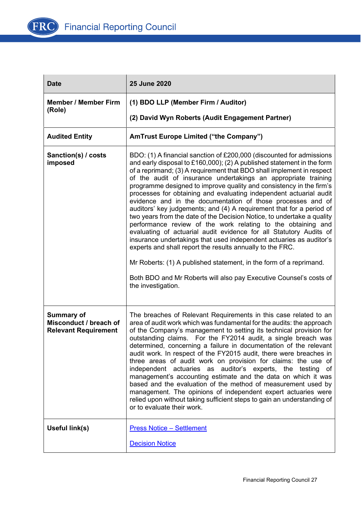

| <b>Date</b>                                                                | 25 June 2020                                                                                                                                                                                                                                                                                                                                                                                                                                                                                                                                                                                                                                                                                                                                                                                                                                                                                                                                                                                                                                                                                        |
|----------------------------------------------------------------------------|-----------------------------------------------------------------------------------------------------------------------------------------------------------------------------------------------------------------------------------------------------------------------------------------------------------------------------------------------------------------------------------------------------------------------------------------------------------------------------------------------------------------------------------------------------------------------------------------------------------------------------------------------------------------------------------------------------------------------------------------------------------------------------------------------------------------------------------------------------------------------------------------------------------------------------------------------------------------------------------------------------------------------------------------------------------------------------------------------------|
| <b>Member / Member Firm</b><br>(Role)                                      | (1) BDO LLP (Member Firm / Auditor)                                                                                                                                                                                                                                                                                                                                                                                                                                                                                                                                                                                                                                                                                                                                                                                                                                                                                                                                                                                                                                                                 |
|                                                                            | (2) David Wyn Roberts (Audit Engagement Partner)                                                                                                                                                                                                                                                                                                                                                                                                                                                                                                                                                                                                                                                                                                                                                                                                                                                                                                                                                                                                                                                    |
| <b>Audited Entity</b>                                                      | <b>AmTrust Europe Limited ("the Company")</b>                                                                                                                                                                                                                                                                                                                                                                                                                                                                                                                                                                                                                                                                                                                                                                                                                                                                                                                                                                                                                                                       |
| Sanction(s) / costs<br>imposed                                             | BDO: (1) A financial sanction of £200,000 (discounted for admissions<br>and early disposal to £160,000); (2) A published statement in the form<br>of a reprimand; (3) A requirement that BDO shall implement in respect<br>of the audit of insurance undertakings an appropriate training<br>programme designed to improve quality and consistency in the firm's<br>processes for obtaining and evaluating independent actuarial audit<br>evidence and in the documentation of those processes and of<br>auditors' key judgements; and (4) A requirement that for a period of<br>two years from the date of the Decision Notice, to undertake a quality<br>performance review of the work relating to the obtaining and<br>evaluating of actuarial audit evidence for all Statutory Audits of<br>insurance undertakings that used independent actuaries as auditor's<br>experts and shall report the results annually to the FRC.<br>Mr Roberts: (1) A published statement, in the form of a reprimand.<br>Both BDO and Mr Roberts will also pay Executive Counsel's costs of<br>the investigation. |
| <b>Summary of</b><br>Misconduct / breach of<br><b>Relevant Requirement</b> | The breaches of Relevant Requirements in this case related to an<br>area of audit work which was fundamental for the audits: the approach<br>of the Company's management to setting its technical provision for<br>outstanding claims. For the FY2014 audit, a single breach was<br>determined, concerning a failure in documentation of the relevant<br>audit work. In respect of the FY2015 audit, there were breaches in<br>three areas of audit work on provision for claims: the use of<br>independent actuaries as auditor's experts, the testing of<br>management's accounting estimate and the data on which it was<br>based and the evaluation of the method of measurement used by<br>management. The opinions of independent expert actuaries were<br>relied upon without taking sufficient steps to gain an understanding of<br>or to evaluate their work.                                                                                                                                                                                                                              |
| Useful link(s)                                                             | <b>Press Notice - Settlement</b>                                                                                                                                                                                                                                                                                                                                                                                                                                                                                                                                                                                                                                                                                                                                                                                                                                                                                                                                                                                                                                                                    |
|                                                                            | <b>Decision Notice</b>                                                                                                                                                                                                                                                                                                                                                                                                                                                                                                                                                                                                                                                                                                                                                                                                                                                                                                                                                                                                                                                                              |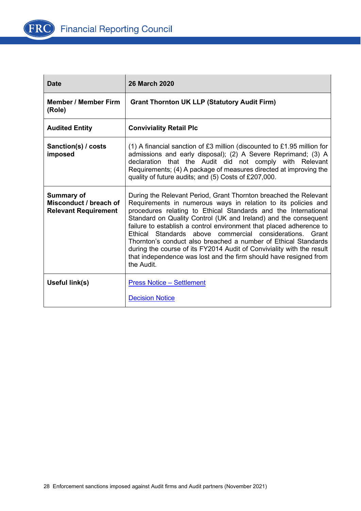

| <b>Date</b>                                                                | <b>26 March 2020</b>                                                                                                                                                                                                                                                                                                                                                                                                                                                                                                                                                                                                                    |
|----------------------------------------------------------------------------|-----------------------------------------------------------------------------------------------------------------------------------------------------------------------------------------------------------------------------------------------------------------------------------------------------------------------------------------------------------------------------------------------------------------------------------------------------------------------------------------------------------------------------------------------------------------------------------------------------------------------------------------|
| <b>Member / Member Firm</b><br>(Role)                                      | <b>Grant Thornton UK LLP (Statutory Audit Firm)</b>                                                                                                                                                                                                                                                                                                                                                                                                                                                                                                                                                                                     |
| <b>Audited Entity</b>                                                      | <b>Conviviality Retail Plc</b>                                                                                                                                                                                                                                                                                                                                                                                                                                                                                                                                                                                                          |
| Sanction(s) / costs<br>imposed                                             | (1) A financial sanction of £3 million (discounted to £1.95 million for<br>admissions and early disposal); (2) A Severe Reprimand; (3) A<br>declaration that the Audit did not comply with Relevant<br>Requirements; (4) A package of measures directed at improving the<br>quality of future audits; and (5) Costs of £207,000.                                                                                                                                                                                                                                                                                                        |
| <b>Summary of</b><br>Misconduct / breach of<br><b>Relevant Requirement</b> | During the Relevant Period, Grant Thornton breached the Relevant<br>Requirements in numerous ways in relation to its policies and<br>procedures relating to Ethical Standards and the International<br>Standard on Quality Control (UK and Ireland) and the consequent<br>failure to establish a control environment that placed adherence to<br>Ethical Standards above commercial considerations. Grant<br>Thornton's conduct also breached a number of Ethical Standards<br>during the course of its FY2014 Audit of Conviviality with the result<br>that independence was lost and the firm should have resigned from<br>the Audit. |
| Useful link(s)                                                             | <b>Press Notice - Settlement</b><br><b>Decision Notice</b>                                                                                                                                                                                                                                                                                                                                                                                                                                                                                                                                                                              |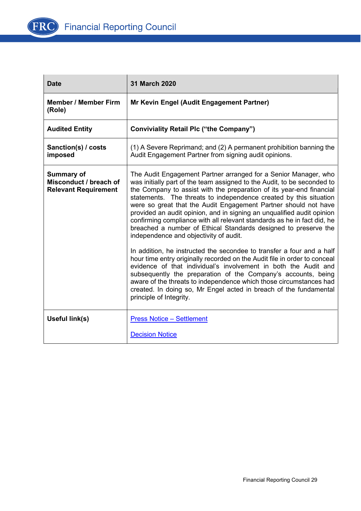

| <b>Date</b>                                                                | <b>31 March 2020</b>                                                                                                                                                                                                                                                                                                                                                                                                                                                                                                                                                                                                                                                                                                                                                                                                                                  |
|----------------------------------------------------------------------------|-------------------------------------------------------------------------------------------------------------------------------------------------------------------------------------------------------------------------------------------------------------------------------------------------------------------------------------------------------------------------------------------------------------------------------------------------------------------------------------------------------------------------------------------------------------------------------------------------------------------------------------------------------------------------------------------------------------------------------------------------------------------------------------------------------------------------------------------------------|
| <b>Member / Member Firm</b><br>(Role)                                      | Mr Kevin Engel (Audit Engagement Partner)                                                                                                                                                                                                                                                                                                                                                                                                                                                                                                                                                                                                                                                                                                                                                                                                             |
| <b>Audited Entity</b>                                                      | <b>Conviviality Retail Plc ("the Company")</b>                                                                                                                                                                                                                                                                                                                                                                                                                                                                                                                                                                                                                                                                                                                                                                                                        |
| Sanction(s) / costs<br>imposed                                             | (1) A Severe Reprimand; and (2) A permanent prohibition banning the<br>Audit Engagement Partner from signing audit opinions.                                                                                                                                                                                                                                                                                                                                                                                                                                                                                                                                                                                                                                                                                                                          |
| <b>Summary of</b><br>Misconduct / breach of<br><b>Relevant Requirement</b> | The Audit Engagement Partner arranged for a Senior Manager, who<br>was initially part of the team assigned to the Audit, to be seconded to<br>the Company to assist with the preparation of its year-end financial<br>statements. The threats to independence created by this situation<br>were so great that the Audit Engagement Partner should not have<br>provided an audit opinion, and in signing an unqualified audit opinion<br>confirming compliance with all relevant standards as he in fact did, he<br>breached a number of Ethical Standards designed to preserve the<br>independence and objectivity of audit.<br>In addition, he instructed the secondee to transfer a four and a half<br>hour time entry originally recorded on the Audit file in order to conceal<br>evidence of that individual's involvement in both the Audit and |
|                                                                            | subsequently the preparation of the Company's accounts, being<br>aware of the threats to independence which those circumstances had<br>created. In doing so, Mr Engel acted in breach of the fundamental<br>principle of Integrity.                                                                                                                                                                                                                                                                                                                                                                                                                                                                                                                                                                                                                   |
| Useful link(s)                                                             | <b>Press Notice - Settlement</b>                                                                                                                                                                                                                                                                                                                                                                                                                                                                                                                                                                                                                                                                                                                                                                                                                      |
|                                                                            | <b>Decision Notice</b>                                                                                                                                                                                                                                                                                                                                                                                                                                                                                                                                                                                                                                                                                                                                                                                                                                |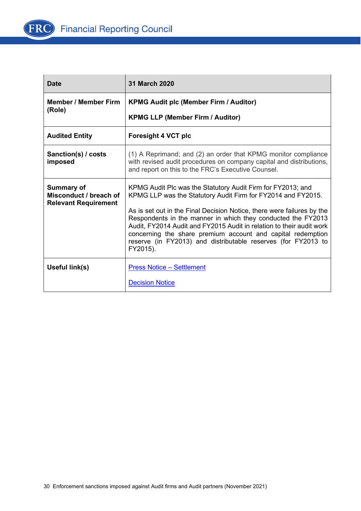

| <b>Date</b>                                                                | 31 March 2020                                                                                                                                                                                                                                                                                                                                                                                                                                                                             |
|----------------------------------------------------------------------------|-------------------------------------------------------------------------------------------------------------------------------------------------------------------------------------------------------------------------------------------------------------------------------------------------------------------------------------------------------------------------------------------------------------------------------------------------------------------------------------------|
| <b>Member / Member Firm</b>                                                | <b>KPMG Audit plc (Member Firm / Auditor)</b>                                                                                                                                                                                                                                                                                                                                                                                                                                             |
| (Role)                                                                     | <b>KPMG LLP (Member Firm / Auditor)</b>                                                                                                                                                                                                                                                                                                                                                                                                                                                   |
| <b>Audited Entity</b>                                                      | <b>Foresight 4 VCT plc</b>                                                                                                                                                                                                                                                                                                                                                                                                                                                                |
| Sanction(s) / costs<br>imposed                                             | (1) A Reprimand; and (2) an order that KPMG monitor compliance<br>with revised audit procedures on company capital and distributions,<br>and report on this to the FRC's Executive Counsel.                                                                                                                                                                                                                                                                                               |
| <b>Summary of</b><br>Misconduct / breach of<br><b>Relevant Requirement</b> | KPMG Audit Plc was the Statutory Audit Firm for FY2013; and<br>KPMG LLP was the Statutory Audit Firm for FY2014 and FY2015.<br>As is set out in the Final Decision Notice, there were failures by the<br>Respondents in the manner in which they conducted the FY2013<br>Audit, FY2014 Audit and FY2015 Audit in relation to their audit work<br>concerning the share premium account and capital redemption<br>reserve (in FY2013) and distributable reserves (for FY2013 to<br>FY2015). |
| Useful link(s)                                                             | <b>Press Notice - Settlement</b><br><b>Decision Notice</b>                                                                                                                                                                                                                                                                                                                                                                                                                                |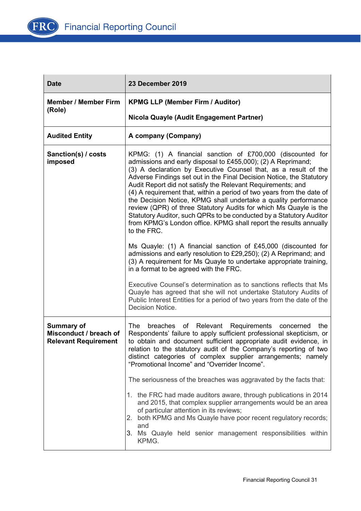

| <b>Date</b>                                                                | 23 December 2019                                                                                                                                                                                                                                                                                                                                                                                                                                                                                                                                                                                                                                                                                                                                                                                                                                                                                                                                                                                                                                                                                                                                                                              |
|----------------------------------------------------------------------------|-----------------------------------------------------------------------------------------------------------------------------------------------------------------------------------------------------------------------------------------------------------------------------------------------------------------------------------------------------------------------------------------------------------------------------------------------------------------------------------------------------------------------------------------------------------------------------------------------------------------------------------------------------------------------------------------------------------------------------------------------------------------------------------------------------------------------------------------------------------------------------------------------------------------------------------------------------------------------------------------------------------------------------------------------------------------------------------------------------------------------------------------------------------------------------------------------|
| <b>Member / Member Firm</b><br>(Role)                                      | <b>KPMG LLP (Member Firm / Auditor)</b>                                                                                                                                                                                                                                                                                                                                                                                                                                                                                                                                                                                                                                                                                                                                                                                                                                                                                                                                                                                                                                                                                                                                                       |
|                                                                            | Nicola Quayle (Audit Engagement Partner)                                                                                                                                                                                                                                                                                                                                                                                                                                                                                                                                                                                                                                                                                                                                                                                                                                                                                                                                                                                                                                                                                                                                                      |
| <b>Audited Entity</b>                                                      | A company (Company)                                                                                                                                                                                                                                                                                                                                                                                                                                                                                                                                                                                                                                                                                                                                                                                                                                                                                                                                                                                                                                                                                                                                                                           |
| Sanction(s) / costs<br>imposed                                             | KPMG: (1) A financial sanction of £700,000 (discounted for<br>admissions and early disposal to £455,000); (2) A Reprimand;<br>(3) A declaration by Executive Counsel that, as a result of the<br>Adverse Findings set out in the Final Decision Notice, the Statutory<br>Audit Report did not satisfy the Relevant Requirements; and<br>(4) A requirement that, within a period of two years from the date of<br>the Decision Notice, KPMG shall undertake a quality performance<br>review (QPR) of three Statutory Audits for which Ms Quayle is the<br>Statutory Auditor, such QPRs to be conducted by a Statutory Auditor<br>from KPMG's London office. KPMG shall report the results annually<br>to the FRC.<br>Ms Quayle: (1) A financial sanction of £45,000 (discounted for<br>admissions and early resolution to £29,250); (2) A Reprimand; and<br>(3) A requirement for Ms Quayle to undertake appropriate training,<br>in a format to be agreed with the FRC.<br>Executive Counsel's determination as to sanctions reflects that Ms<br>Quayle has agreed that she will not undertake Statutory Audits of<br>Public Interest Entities for a period of two years from the date of the |
|                                                                            | Decision Notice.                                                                                                                                                                                                                                                                                                                                                                                                                                                                                                                                                                                                                                                                                                                                                                                                                                                                                                                                                                                                                                                                                                                                                                              |
| <b>Summary of</b><br>Misconduct / breach of<br><b>Relevant Requirement</b> | The<br>breaches of Relevant Requirements concerned<br>the<br>Respondents' failure to apply sufficient professional skepticism, or<br>to obtain and document sufficient appropriate audit evidence, in<br>relation to the statutory audit of the Company's reporting of two<br>distinct categories of complex supplier arrangements; namely<br>"Promotional Income" and "Overrider Income".                                                                                                                                                                                                                                                                                                                                                                                                                                                                                                                                                                                                                                                                                                                                                                                                    |
|                                                                            | The seriousness of the breaches was aggravated by the facts that:                                                                                                                                                                                                                                                                                                                                                                                                                                                                                                                                                                                                                                                                                                                                                                                                                                                                                                                                                                                                                                                                                                                             |
|                                                                            | 1. the FRC had made auditors aware, through publications in 2014<br>and 2015, that complex supplier arrangements would be an area<br>of particular attention in its reviews;<br>both KPMG and Ms Quayle have poor recent regulatory records;<br>2.<br>and<br>3. Ms Quayle held senior management responsibilities within<br>KPMG.                                                                                                                                                                                                                                                                                                                                                                                                                                                                                                                                                                                                                                                                                                                                                                                                                                                             |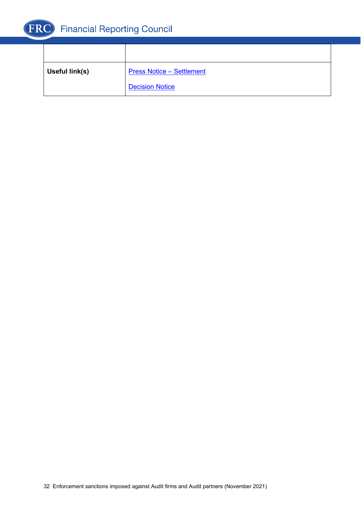

| Useful link(s) | <b>Press Notice - Settlement</b> |
|----------------|----------------------------------|
|                | <b>Decision Notice</b>           |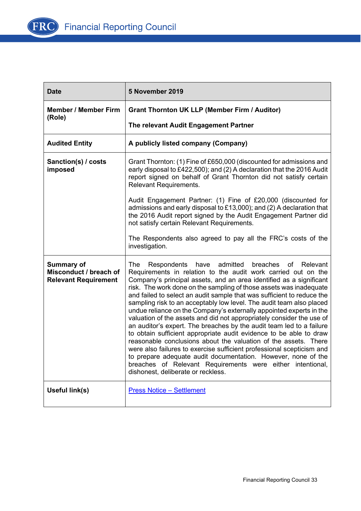

| <b>Date</b>                                                                | 5 November 2019                                                                                                                                                                                                                                                                                                                                                                                                                                                                                                                                                                                                                                                                                                                                                                                                                                                                                                                                                                                                                               |
|----------------------------------------------------------------------------|-----------------------------------------------------------------------------------------------------------------------------------------------------------------------------------------------------------------------------------------------------------------------------------------------------------------------------------------------------------------------------------------------------------------------------------------------------------------------------------------------------------------------------------------------------------------------------------------------------------------------------------------------------------------------------------------------------------------------------------------------------------------------------------------------------------------------------------------------------------------------------------------------------------------------------------------------------------------------------------------------------------------------------------------------|
| <b>Member / Member Firm</b><br>(Role)                                      | <b>Grant Thornton UK LLP (Member Firm / Auditor)</b>                                                                                                                                                                                                                                                                                                                                                                                                                                                                                                                                                                                                                                                                                                                                                                                                                                                                                                                                                                                          |
|                                                                            | The relevant Audit Engagement Partner                                                                                                                                                                                                                                                                                                                                                                                                                                                                                                                                                                                                                                                                                                                                                                                                                                                                                                                                                                                                         |
| <b>Audited Entity</b>                                                      | A publicly listed company (Company)                                                                                                                                                                                                                                                                                                                                                                                                                                                                                                                                                                                                                                                                                                                                                                                                                                                                                                                                                                                                           |
| Sanction(s) / costs<br>imposed                                             | Grant Thornton: (1) Fine of £650,000 (discounted for admissions and<br>early disposal to £422,500); and (2) A declaration that the 2016 Audit<br>report signed on behalf of Grant Thornton did not satisfy certain<br><b>Relevant Requirements.</b>                                                                                                                                                                                                                                                                                                                                                                                                                                                                                                                                                                                                                                                                                                                                                                                           |
|                                                                            | Audit Engagement Partner: (1) Fine of £20,000 (discounted for<br>admissions and early disposal to £13,000); and (2) A declaration that<br>the 2016 Audit report signed by the Audit Engagement Partner did<br>not satisfy certain Relevant Requirements.                                                                                                                                                                                                                                                                                                                                                                                                                                                                                                                                                                                                                                                                                                                                                                                      |
|                                                                            | The Respondents also agreed to pay all the FRC's costs of the<br>investigation.                                                                                                                                                                                                                                                                                                                                                                                                                                                                                                                                                                                                                                                                                                                                                                                                                                                                                                                                                               |
| <b>Summary of</b><br>Misconduct / breach of<br><b>Relevant Requirement</b> | admitted<br>Respondents have<br>breaches of<br>Relevant<br>The<br>Requirements in relation to the audit work carried out on the<br>Company's principal assets, and an area identified as a significant<br>risk. The work done on the sampling of those assets was inadequate<br>and failed to select an audit sample that was sufficient to reduce the<br>sampling risk to an acceptably low level. The audit team also placed<br>undue reliance on the Company's externally appointed experts in the<br>valuation of the assets and did not appropriately consider the use of<br>an auditor's expert. The breaches by the audit team led to a failure<br>to obtain sufficient appropriate audit evidence to be able to draw<br>reasonable conclusions about the valuation of the assets. There<br>were also failures to exercise sufficient professional scepticism and<br>to prepare adequate audit documentation. However, none of the<br>breaches of Relevant Requirements were either intentional,<br>dishonest, deliberate or reckless. |
| Useful link(s)                                                             | <b>Press Notice - Settlement</b>                                                                                                                                                                                                                                                                                                                                                                                                                                                                                                                                                                                                                                                                                                                                                                                                                                                                                                                                                                                                              |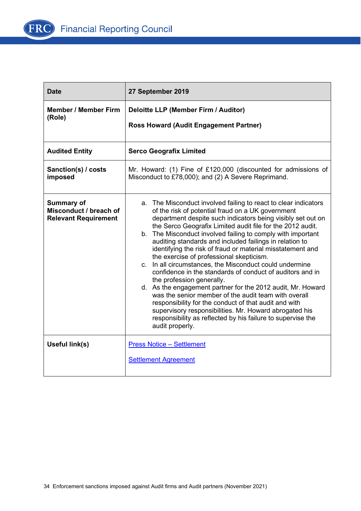

| <b>Date</b>                                                                | 27 September 2019                                                                                                                                                                                                                                                                                                                                                                                                                                                                                                                                                                                                                                                                                                                                                                                                                                                                                                                                                      |
|----------------------------------------------------------------------------|------------------------------------------------------------------------------------------------------------------------------------------------------------------------------------------------------------------------------------------------------------------------------------------------------------------------------------------------------------------------------------------------------------------------------------------------------------------------------------------------------------------------------------------------------------------------------------------------------------------------------------------------------------------------------------------------------------------------------------------------------------------------------------------------------------------------------------------------------------------------------------------------------------------------------------------------------------------------|
| <b>Member / Member Firm</b><br>(Role)                                      | Deloitte LLP (Member Firm / Auditor)<br><b>Ross Howard (Audit Engagement Partner)</b>                                                                                                                                                                                                                                                                                                                                                                                                                                                                                                                                                                                                                                                                                                                                                                                                                                                                                  |
| <b>Audited Entity</b>                                                      | <b>Serco Geografix Limited</b>                                                                                                                                                                                                                                                                                                                                                                                                                                                                                                                                                                                                                                                                                                                                                                                                                                                                                                                                         |
| Sanction(s) / costs<br>imposed                                             | Mr. Howard: (1) Fine of £120,000 (discounted for admissions of<br>Misconduct to £78,000); and (2) A Severe Reprimand.                                                                                                                                                                                                                                                                                                                                                                                                                                                                                                                                                                                                                                                                                                                                                                                                                                                  |
| <b>Summary of</b><br>Misconduct / breach of<br><b>Relevant Requirement</b> | a. The Misconduct involved failing to react to clear indicators<br>of the risk of potential fraud on a UK government<br>department despite such indicators being visibly set out on<br>the Serco Geografix Limited audit file for the 2012 audit.<br>b. The Misconduct involved failing to comply with important<br>auditing standards and included failings in relation to<br>identifying the risk of fraud or material misstatement and<br>the exercise of professional skepticism.<br>c. In all circumstances, the Misconduct could undermine<br>confidence in the standards of conduct of auditors and in<br>the profession generally.<br>d. As the engagement partner for the 2012 audit, Mr. Howard<br>was the senior member of the audit team with overall<br>responsibility for the conduct of that audit and with<br>supervisory responsibilities. Mr. Howard abrogated his<br>responsibility as reflected by his failure to supervise the<br>audit properly. |
| Useful link(s)                                                             | <b>Press Notice - Settlement</b><br><b>Settlement Agreement</b>                                                                                                                                                                                                                                                                                                                                                                                                                                                                                                                                                                                                                                                                                                                                                                                                                                                                                                        |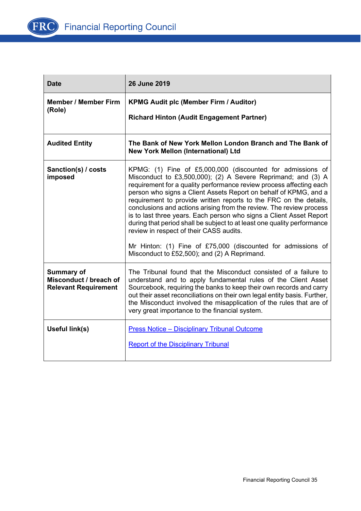

| <b>Date</b>                                                                | 26 June 2019                                                                                                                                                                                                                                                                                                                                                                                                                                                                                                                                                                                                                                                                                                                   |
|----------------------------------------------------------------------------|--------------------------------------------------------------------------------------------------------------------------------------------------------------------------------------------------------------------------------------------------------------------------------------------------------------------------------------------------------------------------------------------------------------------------------------------------------------------------------------------------------------------------------------------------------------------------------------------------------------------------------------------------------------------------------------------------------------------------------|
| <b>Member / Member Firm</b><br>(Role)                                      | <b>KPMG Audit plc (Member Firm / Auditor)</b><br><b>Richard Hinton (Audit Engagement Partner)</b>                                                                                                                                                                                                                                                                                                                                                                                                                                                                                                                                                                                                                              |
| <b>Audited Entity</b>                                                      | The Bank of New York Mellon London Branch and The Bank of<br><b>New York Mellon (International) Ltd</b>                                                                                                                                                                                                                                                                                                                                                                                                                                                                                                                                                                                                                        |
| Sanction(s) / costs<br>imposed                                             | KPMG: (1) Fine of £5,000,000 (discounted for admissions of<br>Misconduct to £3,500,000); (2) A Severe Reprimand; and (3) A<br>requirement for a quality performance review process affecting each<br>person who signs a Client Assets Report on behalf of KPMG, and a<br>requirement to provide written reports to the FRC on the details,<br>conclusions and actions arising from the review. The review process<br>is to last three years. Each person who signs a Client Asset Report<br>during that period shall be subject to at least one quality performance<br>review in respect of their CASS audits.<br>Mr Hinton: (1) Fine of £75,000 (discounted for admissions of<br>Misconduct to £52,500); and (2) A Reprimand. |
| <b>Summary of</b><br>Misconduct / breach of<br><b>Relevant Requirement</b> | The Tribunal found that the Misconduct consisted of a failure to<br>understand and to apply fundamental rules of the Client Asset<br>Sourcebook, requiring the banks to keep their own records and carry<br>out their asset reconciliations on their own legal entity basis. Further,<br>the Misconduct involved the misapplication of the rules that are of<br>very great importance to the financial system.                                                                                                                                                                                                                                                                                                                 |
| Useful link(s)                                                             | <b>Press Notice - Disciplinary Tribunal Outcome</b><br><b>Report of the Disciplinary Tribunal</b>                                                                                                                                                                                                                                                                                                                                                                                                                                                                                                                                                                                                                              |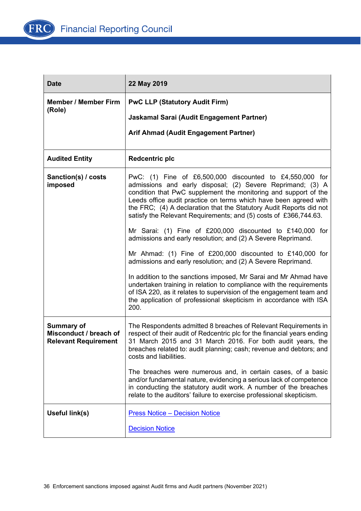

| <b>Date</b>                                                                | 22 May 2019                                                                                                                                                                                                                                                                                                                                                                                                |
|----------------------------------------------------------------------------|------------------------------------------------------------------------------------------------------------------------------------------------------------------------------------------------------------------------------------------------------------------------------------------------------------------------------------------------------------------------------------------------------------|
| <b>Member / Member Firm</b>                                                | <b>PwC LLP (Statutory Audit Firm)</b>                                                                                                                                                                                                                                                                                                                                                                      |
| (Role)                                                                     | Jaskamal Sarai (Audit Engagement Partner)                                                                                                                                                                                                                                                                                                                                                                  |
|                                                                            | Arif Ahmad (Audit Engagement Partner)                                                                                                                                                                                                                                                                                                                                                                      |
| <b>Audited Entity</b>                                                      | <b>Redcentric plc</b>                                                                                                                                                                                                                                                                                                                                                                                      |
| Sanction(s) / costs<br>imposed                                             | PwC: $(1)$ Fine of £6,500,000 discounted to £4,550,000 for<br>admissions and early disposal; (2) Severe Reprimand; (3) A<br>condition that PwC supplement the monitoring and support of the<br>Leeds office audit practice on terms which have been agreed with<br>the FRC; (4) A declaration that the Statutory Audit Reports did not<br>satisfy the Relevant Requirements; and (5) costs of £366,744.63. |
|                                                                            | Mr Sarai: (1) Fine of £200,000 discounted to £140,000 for<br>admissions and early resolution; and (2) A Severe Reprimand.                                                                                                                                                                                                                                                                                  |
|                                                                            | Mr Ahmad: (1) Fine of $£200,000$ discounted to $£140,000$ for<br>admissions and early resolution; and (2) A Severe Reprimand.                                                                                                                                                                                                                                                                              |
|                                                                            | In addition to the sanctions imposed, Mr Sarai and Mr Ahmad have<br>undertaken training in relation to compliance with the requirements<br>of ISA 220, as it relates to supervision of the engagement team and<br>the application of professional skepticism in accordance with ISA<br>200.                                                                                                                |
| <b>Summary of</b><br>Misconduct / breach of<br><b>Relevant Requirement</b> | The Respondents admitted 8 breaches of Relevant Requirements in<br>respect of their audit of Redcentric plc for the financial years ending<br>31 March 2015 and 31 March 2016. For both audit years, the<br>breaches related to: audit planning; cash; revenue and debtors; and<br>costs and liabilities.                                                                                                  |
|                                                                            | The breaches were numerous and, in certain cases, of a basic<br>and/or fundamental nature, evidencing a serious lack of competence<br>in conducting the statutory audit work. A number of the breaches<br>relate to the auditors' failure to exercise professional skepticism.                                                                                                                             |
| Useful link(s)                                                             | <b>Press Notice - Decision Notice</b>                                                                                                                                                                                                                                                                                                                                                                      |
|                                                                            | <b>Decision Notice</b>                                                                                                                                                                                                                                                                                                                                                                                     |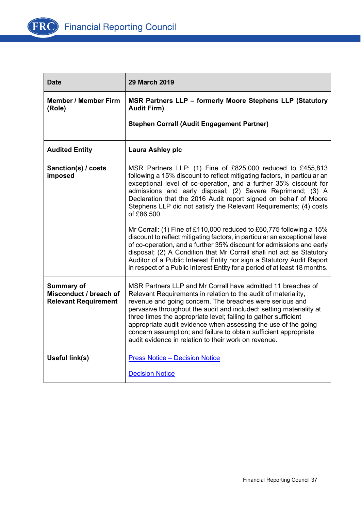

| <b>Date</b>                                                                | <b>29 March 2019</b>                                                                                                                                                                                                                                                                                                                                                                                                                                                                                                               |
|----------------------------------------------------------------------------|------------------------------------------------------------------------------------------------------------------------------------------------------------------------------------------------------------------------------------------------------------------------------------------------------------------------------------------------------------------------------------------------------------------------------------------------------------------------------------------------------------------------------------|
| <b>Member / Member Firm</b><br>(Role)                                      | MSR Partners LLP - formerly Moore Stephens LLP (Statutory<br><b>Audit Firm)</b>                                                                                                                                                                                                                                                                                                                                                                                                                                                    |
|                                                                            | <b>Stephen Corrall (Audit Engagement Partner)</b>                                                                                                                                                                                                                                                                                                                                                                                                                                                                                  |
| <b>Audited Entity</b>                                                      | Laura Ashley plc                                                                                                                                                                                                                                                                                                                                                                                                                                                                                                                   |
| Sanction(s) / costs<br>imposed                                             | MSR Partners LLP: (1) Fine of £825,000 reduced to £455,813<br>following a 15% discount to reflect mitigating factors, in particular an<br>exceptional level of co-operation, and a further 35% discount for<br>admissions and early disposal; (2) Severe Reprimand; (3) A<br>Declaration that the 2016 Audit report signed on behalf of Moore<br>Stephens LLP did not satisfy the Relevant Requirements; (4) costs<br>of £86,500.                                                                                                  |
|                                                                            | Mr Corrall: (1) Fine of £110,000 reduced to £60,775 following a 15%<br>discount to reflect mitigating factors, in particular an exceptional level<br>of co-operation, and a further 35% discount for admissions and early<br>disposal; (2) A Condition that Mr Corrall shall not act as Statutory<br>Auditor of a Public Interest Entity nor sign a Statutory Audit Report<br>in respect of a Public Interest Entity for a period of at least 18 months.                                                                           |
| <b>Summary of</b><br>Misconduct / breach of<br><b>Relevant Requirement</b> | MSR Partners LLP and Mr Corrall have admitted 11 breaches of<br>Relevant Requirements in relation to the audit of materiality,<br>revenue and going concern. The breaches were serious and<br>pervasive throughout the audit and included: setting materiality at<br>three times the appropriate level; failing to gather sufficient<br>appropriate audit evidence when assessing the use of the going<br>concern assumption; and failure to obtain sufficient appropriate<br>audit evidence in relation to their work on revenue. |
| Useful link(s)                                                             | <b>Press Notice - Decision Notice</b>                                                                                                                                                                                                                                                                                                                                                                                                                                                                                              |
|                                                                            | <b>Decision Notice</b>                                                                                                                                                                                                                                                                                                                                                                                                                                                                                                             |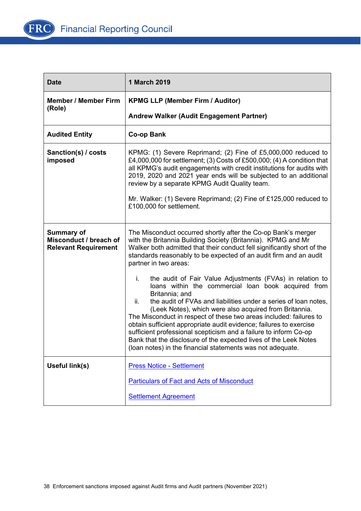

| <b>Date</b>                                                                | 1 March 2019                                                                                                                                                                                                                                                                                                                                                                                                                                                                                                                                                                                                                   |
|----------------------------------------------------------------------------|--------------------------------------------------------------------------------------------------------------------------------------------------------------------------------------------------------------------------------------------------------------------------------------------------------------------------------------------------------------------------------------------------------------------------------------------------------------------------------------------------------------------------------------------------------------------------------------------------------------------------------|
| <b>Member / Member Firm</b><br>(Role)                                      | <b>KPMG LLP (Member Firm / Auditor)</b>                                                                                                                                                                                                                                                                                                                                                                                                                                                                                                                                                                                        |
|                                                                            | Andrew Walker (Audit Engagement Partner)                                                                                                                                                                                                                                                                                                                                                                                                                                                                                                                                                                                       |
| <b>Audited Entity</b>                                                      | <b>Co-op Bank</b>                                                                                                                                                                                                                                                                                                                                                                                                                                                                                                                                                                                                              |
| Sanction(s) / costs<br>imposed                                             | KPMG: (1) Severe Reprimand; (2) Fine of £5,000,000 reduced to<br>£4,000,000 for settlement; (3) Costs of £500,000; (4) A condition that<br>all KPMG's audit engagements with credit institutions for audits with<br>2019, 2020 and 2021 year ends will be subjected to an additional<br>review by a separate KPMG Audit Quality team.<br>Mr. Walker: (1) Severe Reprimand; (2) Fine of £125,000 reduced to                                                                                                                                                                                                                     |
|                                                                            | £100,000 for settlement.                                                                                                                                                                                                                                                                                                                                                                                                                                                                                                                                                                                                       |
| <b>Summary of</b><br>Misconduct / breach of<br><b>Relevant Requirement</b> | The Misconduct occurred shortly after the Co-op Bank's merger<br>with the Britannia Building Society (Britannia). KPMG and Mr<br>Walker both admitted that their conduct fell significantly short of the<br>standards reasonably to be expected of an audit firm and an audit<br>partner in two areas:                                                                                                                                                                                                                                                                                                                         |
|                                                                            | the audit of Fair Value Adjustments (FVAs) in relation to<br>i.<br>loans within the commercial loan book acquired from<br>Britannia; and<br>the audit of FVAs and liabilities under a series of loan notes,<br>ii.<br>(Leek Notes), which were also acquired from Britannia.<br>The Misconduct in respect of these two areas included: failures to<br>obtain sufficient appropriate audit evidence; failures to exercise<br>sufficient professional scepticism and a failure to inform Co-op<br>Bank that the disclosure of the expected lives of the Leek Notes<br>(loan notes) in the financial statements was not adequate. |
| Useful link(s)                                                             | <b>Press Notice - Settlement</b>                                                                                                                                                                                                                                                                                                                                                                                                                                                                                                                                                                                               |
|                                                                            | <b>Particulars of Fact and Acts of Misconduct</b>                                                                                                                                                                                                                                                                                                                                                                                                                                                                                                                                                                              |
|                                                                            | <b>Settlement Agreement</b>                                                                                                                                                                                                                                                                                                                                                                                                                                                                                                                                                                                                    |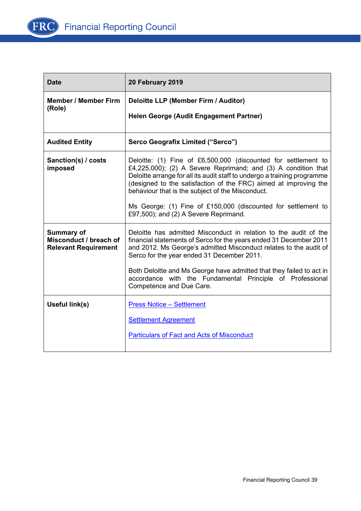

| <b>Date</b>                                                                | 20 February 2019                                                                                                                                                                                                                                                                                                                                                                                                                              |
|----------------------------------------------------------------------------|-----------------------------------------------------------------------------------------------------------------------------------------------------------------------------------------------------------------------------------------------------------------------------------------------------------------------------------------------------------------------------------------------------------------------------------------------|
| <b>Member / Member Firm</b><br>(Role)                                      | Deloitte LLP (Member Firm / Auditor)<br>Helen George (Audit Engagement Partner)                                                                                                                                                                                                                                                                                                                                                               |
| <b>Audited Entity</b>                                                      | Serco Geografix Limited ("Serco")                                                                                                                                                                                                                                                                                                                                                                                                             |
| Sanction(s) / costs<br>imposed                                             | Deloitte: (1) Fine of £6,500,000 (discounted for settlement to<br>£4,225,000); (2) A Severe Reprimand; and (3) A condition that<br>Deloitte arrange for all its audit staff to undergo a training programme<br>(designed to the satisfaction of the FRC) aimed at improving the<br>behaviour that is the subject of the Misconduct.<br>Ms George: (1) Fine of £150,000 (discounted for settlement to<br>£97,500); and (2) A Severe Reprimand. |
| <b>Summary of</b><br>Misconduct / breach of<br><b>Relevant Requirement</b> | Deloitte has admitted Misconduct in relation to the audit of the<br>financial statements of Serco for the years ended 31 December 2011<br>and 2012. Ms George's admitted Misconduct relates to the audit of<br>Serco for the year ended 31 December 2011.<br>Both Deloitte and Ms George have admitted that they failed to act in<br>accordance with the Fundamental Principle of Professional<br>Competence and Due Care.                    |
| Useful link(s)                                                             | <b>Press Notice - Settlement</b><br><b>Settlement Agreement</b><br><b>Particulars of Fact and Acts of Misconduct</b>                                                                                                                                                                                                                                                                                                                          |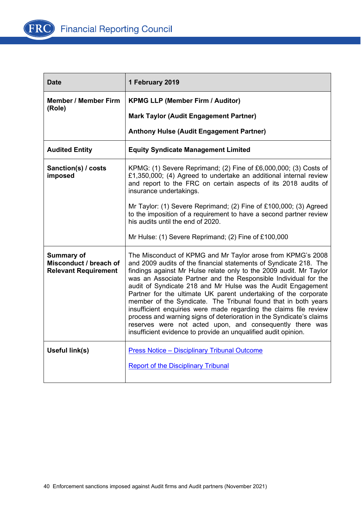

| <b>Date</b>                                                                | 1 February 2019                                                                                                                                                                                                                                                                                                                                                                                                                                                                                                                                                                                                                                                                                                                                           |
|----------------------------------------------------------------------------|-----------------------------------------------------------------------------------------------------------------------------------------------------------------------------------------------------------------------------------------------------------------------------------------------------------------------------------------------------------------------------------------------------------------------------------------------------------------------------------------------------------------------------------------------------------------------------------------------------------------------------------------------------------------------------------------------------------------------------------------------------------|
| <b>Member / Member Firm</b>                                                | <b>KPMG LLP (Member Firm / Auditor)</b>                                                                                                                                                                                                                                                                                                                                                                                                                                                                                                                                                                                                                                                                                                                   |
| (Role)                                                                     | <b>Mark Taylor (Audit Engagement Partner)</b>                                                                                                                                                                                                                                                                                                                                                                                                                                                                                                                                                                                                                                                                                                             |
|                                                                            | <b>Anthony Hulse (Audit Engagement Partner)</b>                                                                                                                                                                                                                                                                                                                                                                                                                                                                                                                                                                                                                                                                                                           |
| <b>Audited Entity</b>                                                      | <b>Equity Syndicate Management Limited</b>                                                                                                                                                                                                                                                                                                                                                                                                                                                                                                                                                                                                                                                                                                                |
| Sanction(s) / costs<br>imposed                                             | KPMG: (1) Severe Reprimand; (2) Fine of £6,000,000; (3) Costs of<br>£1,350,000; (4) Agreed to undertake an additional internal review<br>and report to the FRC on certain aspects of its 2018 audits of<br>insurance undertakings.                                                                                                                                                                                                                                                                                                                                                                                                                                                                                                                        |
|                                                                            | Mr Taylor: (1) Severe Reprimand; (2) Fine of £100,000; (3) Agreed<br>to the imposition of a requirement to have a second partner review<br>his audits until the end of 2020.                                                                                                                                                                                                                                                                                                                                                                                                                                                                                                                                                                              |
|                                                                            | Mr Hulse: (1) Severe Reprimand; (2) Fine of £100,000                                                                                                                                                                                                                                                                                                                                                                                                                                                                                                                                                                                                                                                                                                      |
| <b>Summary of</b><br>Misconduct / breach of<br><b>Relevant Requirement</b> | The Misconduct of KPMG and Mr Taylor arose from KPMG's 2008<br>and 2009 audits of the financial statements of Syndicate 218. The<br>findings against Mr Hulse relate only to the 2009 audit. Mr Taylor<br>was an Associate Partner and the Responsible Individual for the<br>audit of Syndicate 218 and Mr Hulse was the Audit Engagement<br>Partner for the ultimate UK parent undertaking of the corporate<br>member of the Syndicate. The Tribunal found that in both years<br>insufficient enquiries were made regarding the claims file review<br>process and warning signs of deterioration in the Syndicate's claims<br>reserves were not acted upon, and consequently there was<br>insufficient evidence to provide an unqualified audit opinion. |
| Useful link(s)                                                             | <b>Press Notice - Disciplinary Tribunal Outcome</b><br><b>Report of the Disciplinary Tribunal</b>                                                                                                                                                                                                                                                                                                                                                                                                                                                                                                                                                                                                                                                         |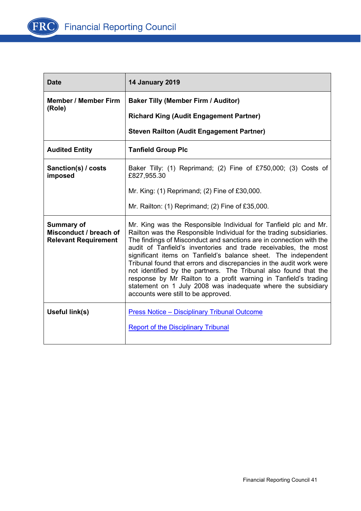

| <b>Date</b>                                                                | <b>14 January 2019</b>                                                                                                                                                                                                                                                                                                                                                                                                                                                                                                                                                                                                                                                     |
|----------------------------------------------------------------------------|----------------------------------------------------------------------------------------------------------------------------------------------------------------------------------------------------------------------------------------------------------------------------------------------------------------------------------------------------------------------------------------------------------------------------------------------------------------------------------------------------------------------------------------------------------------------------------------------------------------------------------------------------------------------------|
| <b>Member / Member Firm</b><br>(Role)                                      | <b>Baker Tilly (Member Firm / Auditor)</b><br><b>Richard King (Audit Engagement Partner)</b>                                                                                                                                                                                                                                                                                                                                                                                                                                                                                                                                                                               |
|                                                                            | <b>Steven Railton (Audit Engagement Partner)</b>                                                                                                                                                                                                                                                                                                                                                                                                                                                                                                                                                                                                                           |
| <b>Audited Entity</b>                                                      | <b>Tanfield Group Plc</b>                                                                                                                                                                                                                                                                                                                                                                                                                                                                                                                                                                                                                                                  |
| Sanction(s) / costs<br>imposed                                             | Baker Tilly: (1) Reprimand; (2) Fine of £750,000; (3) Costs of<br>£827,955.30                                                                                                                                                                                                                                                                                                                                                                                                                                                                                                                                                                                              |
|                                                                            | Mr. King: (1) Reprimand; (2) Fine of £30,000.                                                                                                                                                                                                                                                                                                                                                                                                                                                                                                                                                                                                                              |
|                                                                            | Mr. Railton: $(1)$ Reprimand; $(2)$ Fine of £35,000.                                                                                                                                                                                                                                                                                                                                                                                                                                                                                                                                                                                                                       |
| <b>Summary of</b><br>Misconduct / breach of<br><b>Relevant Requirement</b> | Mr. King was the Responsible Individual for Tanfield plc and Mr.<br>Railton was the Responsible Individual for the trading subsidiaries.<br>The findings of Misconduct and sanctions are in connection with the<br>audit of Tanfield's inventories and trade receivables, the most<br>significant items on Tanfield's balance sheet. The independent<br>Tribunal found that errors and discrepancies in the audit work were<br>not identified by the partners. The Tribunal also found that the<br>response by Mr Railton to a profit warning in Tanfield's trading<br>statement on 1 July 2008 was inadequate where the subsidiary<br>accounts were still to be approved. |
| Useful link(s)                                                             | <b>Press Notice - Disciplinary Tribunal Outcome</b>                                                                                                                                                                                                                                                                                                                                                                                                                                                                                                                                                                                                                        |
|                                                                            | <b>Report of the Disciplinary Tribunal</b>                                                                                                                                                                                                                                                                                                                                                                                                                                                                                                                                                                                                                                 |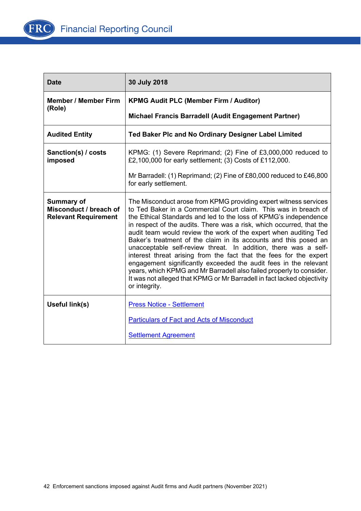

| <b>Date</b>                                                                | 30 July 2018                                                                                                                                                                                                                                                                                                                                                                                                                                                                                                                                                                                                                                                                                                                                                                                             |
|----------------------------------------------------------------------------|----------------------------------------------------------------------------------------------------------------------------------------------------------------------------------------------------------------------------------------------------------------------------------------------------------------------------------------------------------------------------------------------------------------------------------------------------------------------------------------------------------------------------------------------------------------------------------------------------------------------------------------------------------------------------------------------------------------------------------------------------------------------------------------------------------|
| <b>Member / Member Firm</b>                                                | <b>KPMG Audit PLC (Member Firm / Auditor)</b>                                                                                                                                                                                                                                                                                                                                                                                                                                                                                                                                                                                                                                                                                                                                                            |
| (Role)                                                                     | Michael Francis Barradell (Audit Engagement Partner)                                                                                                                                                                                                                                                                                                                                                                                                                                                                                                                                                                                                                                                                                                                                                     |
| <b>Audited Entity</b>                                                      | Ted Baker Plc and No Ordinary Designer Label Limited                                                                                                                                                                                                                                                                                                                                                                                                                                                                                                                                                                                                                                                                                                                                                     |
| Sanction(s) / costs<br>imposed                                             | KPMG: (1) Severe Reprimand; (2) Fine of £3,000,000 reduced to<br>£2,100,000 for early settlement; (3) Costs of £112,000.                                                                                                                                                                                                                                                                                                                                                                                                                                                                                                                                                                                                                                                                                 |
|                                                                            | Mr Barradell: (1) Reprimand; (2) Fine of £80,000 reduced to £46,800<br>for early settlement.                                                                                                                                                                                                                                                                                                                                                                                                                                                                                                                                                                                                                                                                                                             |
| <b>Summary of</b><br>Misconduct / breach of<br><b>Relevant Requirement</b> | The Misconduct arose from KPMG providing expert witness services<br>to Ted Baker in a Commercial Court claim. This was in breach of<br>the Ethical Standards and led to the loss of KPMG's independence<br>in respect of the audits. There was a risk, which occurred, that the<br>audit team would review the work of the expert when auditing Ted<br>Baker's treatment of the claim in its accounts and this posed an<br>unacceptable self-review threat. In addition, there was a self-<br>interest threat arising from the fact that the fees for the expert<br>engagement significantly exceeded the audit fees in the relevant<br>years, which KPMG and Mr Barradell also failed properly to consider.<br>It was not alleged that KPMG or Mr Barradell in fact lacked objectivity<br>or integrity. |
| Useful link(s)                                                             | <b>Press Notice - Settlement</b><br><b>Particulars of Fact and Acts of Misconduct</b>                                                                                                                                                                                                                                                                                                                                                                                                                                                                                                                                                                                                                                                                                                                    |
|                                                                            | <b>Settlement Agreement</b>                                                                                                                                                                                                                                                                                                                                                                                                                                                                                                                                                                                                                                                                                                                                                                              |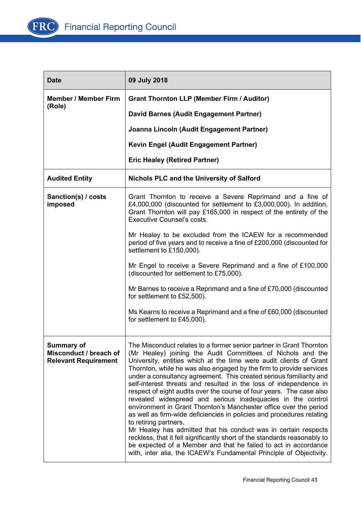

| <b>Date</b>                                                                | 09 July 2018                                                                                                                                                                                                                                                                                                                                                                                                                                                                                                                                                                                                                                                                                                                                                                                                                                                                                                                                                                                                                        |
|----------------------------------------------------------------------------|-------------------------------------------------------------------------------------------------------------------------------------------------------------------------------------------------------------------------------------------------------------------------------------------------------------------------------------------------------------------------------------------------------------------------------------------------------------------------------------------------------------------------------------------------------------------------------------------------------------------------------------------------------------------------------------------------------------------------------------------------------------------------------------------------------------------------------------------------------------------------------------------------------------------------------------------------------------------------------------------------------------------------------------|
| <b>Member / Member Firm</b>                                                | <b>Grant Thornton LLP (Member Firm / Auditor)</b>                                                                                                                                                                                                                                                                                                                                                                                                                                                                                                                                                                                                                                                                                                                                                                                                                                                                                                                                                                                   |
| (Role)                                                                     | David Barnes (Audit Engagement Partner)                                                                                                                                                                                                                                                                                                                                                                                                                                                                                                                                                                                                                                                                                                                                                                                                                                                                                                                                                                                             |
|                                                                            | Joanna Lincoln (Audit Engagement Partner)                                                                                                                                                                                                                                                                                                                                                                                                                                                                                                                                                                                                                                                                                                                                                                                                                                                                                                                                                                                           |
|                                                                            | Kevin Engel (Audit Engagement Partner)                                                                                                                                                                                                                                                                                                                                                                                                                                                                                                                                                                                                                                                                                                                                                                                                                                                                                                                                                                                              |
|                                                                            | <b>Eric Healey (Retired Partner)</b>                                                                                                                                                                                                                                                                                                                                                                                                                                                                                                                                                                                                                                                                                                                                                                                                                                                                                                                                                                                                |
| <b>Audited Entity</b>                                                      | <b>Nichols PLC and the University of Salford</b>                                                                                                                                                                                                                                                                                                                                                                                                                                                                                                                                                                                                                                                                                                                                                                                                                                                                                                                                                                                    |
| Sanction(s) / costs<br>imposed                                             | Grant Thornton to receive a Severe Reprimand and a fine of<br>£4,000,000 (discounted for settlement to £3,000,000). In addition,<br>Grant Thornton will pay £165,000 in respect of the entirety of the<br><b>Executive Counsel's costs.</b>                                                                                                                                                                                                                                                                                                                                                                                                                                                                                                                                                                                                                                                                                                                                                                                         |
|                                                                            | Mr Healey to be excluded from the ICAEW for a recommended<br>period of five years and to receive a fine of £200,000 (discounted for<br>settlement to £150,000).                                                                                                                                                                                                                                                                                                                                                                                                                                                                                                                                                                                                                                                                                                                                                                                                                                                                     |
|                                                                            | Mr Engel to receive a Severe Reprimand and a fine of £100,000<br>(discounted for settlement to £75,000).                                                                                                                                                                                                                                                                                                                                                                                                                                                                                                                                                                                                                                                                                                                                                                                                                                                                                                                            |
|                                                                            | Mr Barnes to receive a Reprimand and a fine of £70,000 (discounted<br>for settlement to £52,500).                                                                                                                                                                                                                                                                                                                                                                                                                                                                                                                                                                                                                                                                                                                                                                                                                                                                                                                                   |
|                                                                            | Ms Kearns to receive a Reprimand and a fine of £60,000 (discounted<br>for settlement to £45,000).                                                                                                                                                                                                                                                                                                                                                                                                                                                                                                                                                                                                                                                                                                                                                                                                                                                                                                                                   |
| <b>Summary of</b><br>Misconduct / breach of<br><b>Relevant Requirement</b> | The Misconduct relates to a former senior partner in Grant Thornton<br>(Mr Healey) joining the Audit Committees of Nichols and the<br>University, entities which at the time were audit clients of Grant<br>Thornton, while he was also engaged by the firm to provide services<br>under a consultancy agreement. This created serious familiarity and<br>self-interest threats and resulted in the loss of independence in<br>respect of eight audits over the course of four years. The case also<br>revealed widespread and serious inadequacies in the control<br>environment in Grant Thornton's Manchester office over the period<br>as well as firm-wide deficiencies in policies and procedures relating<br>to retiring partners.<br>Mr Healey has admitted that his conduct was in certain respects<br>reckless, that it fell significantly short of the standards reasonably to<br>be expected of a Member and that he failed to act in accordance<br>with, inter alia, the ICAEW's Fundamental Principle of Objectivity. |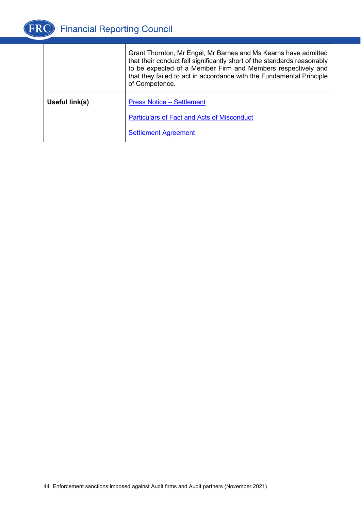

|                | Grant Thornton, Mr Engel, Mr Barnes and Ms Kearns have admitted<br>that their conduct fell significantly short of the standards reasonably<br>to be expected of a Member Firm and Members respectively and<br>that they failed to act in accordance with the Fundamental Principle<br>of Competence. |
|----------------|------------------------------------------------------------------------------------------------------------------------------------------------------------------------------------------------------------------------------------------------------------------------------------------------------|
| Useful link(s) | <b>Press Notice – Settlement</b>                                                                                                                                                                                                                                                                     |
|                | <b>Particulars of Fact and Acts of Misconduct</b>                                                                                                                                                                                                                                                    |
|                | <b>Settlement Agreement</b>                                                                                                                                                                                                                                                                          |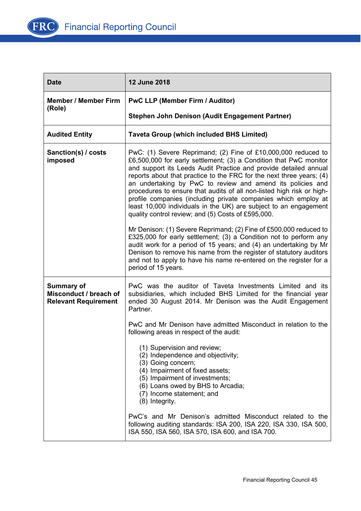

| <b>Date</b>                                                                | <b>12 June 2018</b>                                                                                                                                                                                                                                                                                                                                                                                                                                                                                                                                                                                               |
|----------------------------------------------------------------------------|-------------------------------------------------------------------------------------------------------------------------------------------------------------------------------------------------------------------------------------------------------------------------------------------------------------------------------------------------------------------------------------------------------------------------------------------------------------------------------------------------------------------------------------------------------------------------------------------------------------------|
| <b>Member / Member Firm</b><br>(Role)                                      | <b>PwC LLP (Member Firm / Auditor)</b>                                                                                                                                                                                                                                                                                                                                                                                                                                                                                                                                                                            |
|                                                                            | Stephen John Denison (Audit Engagement Partner)                                                                                                                                                                                                                                                                                                                                                                                                                                                                                                                                                                   |
| <b>Audited Entity</b>                                                      | <b>Taveta Group (which included BHS Limited)</b>                                                                                                                                                                                                                                                                                                                                                                                                                                                                                                                                                                  |
| Sanction(s) / costs<br>imposed                                             | PwC: (1) Severe Reprimand; (2) Fine of £10,000,000 reduced to<br>£6,500,000 for early settlement; (3) a Condition that PwC monitor<br>and support its Leeds Audit Practice and provide detailed annual<br>reports about that practice to the FRC for the next three years; (4)<br>an undertaking by PwC to review and amend its policies and<br>procedures to ensure that audits of all non-listed high risk or high-<br>profile companies (including private companies which employ at<br>least 10,000 individuals in the UK) are subject to an engagement<br>quality control review; and (5) Costs of £595,000. |
|                                                                            | Mr Denison: (1) Severe Reprimand; (2) Fine of £500,000 reduced to<br>£325,000 for early settlement; (3) a Condition not to perform any<br>audit work for a period of 15 years; and (4) an undertaking by Mr<br>Denison to remove his name from the register of statutory auditors<br>and not to apply to have his name re-entered on the register for a<br>period of 15 years.                                                                                                                                                                                                                                    |
| <b>Summary of</b><br>Misconduct / breach of<br><b>Relevant Requirement</b> | PwC was the auditor of Taveta Investments Limited and its<br>subsidiaries, which included BHS Limited for the financial year<br>ended 30 August 2014. Mr Denison was the Audit Engagement<br>Partner.                                                                                                                                                                                                                                                                                                                                                                                                             |
|                                                                            | PwC and Mr Denison have admitted Misconduct in relation to the<br>following areas in respect of the audit:                                                                                                                                                                                                                                                                                                                                                                                                                                                                                                        |
|                                                                            | (1) Supervision and review;<br>(2) Independence and objectivity;<br>(3) Going concern;<br>(4) Impairment of fixed assets;<br>(5) Impairment of investments;<br>(6) Loans owed by BHS to Arcadia;<br>(7) Income statement; and<br>(8) Integrity.                                                                                                                                                                                                                                                                                                                                                                   |
|                                                                            | PwC's and Mr Denison's admitted Misconduct related to the<br>following auditing standards: ISA 200, ISA 220, ISA 330, ISA 500,<br>ISA 550, ISA 560, ISA 570, ISA 600, and ISA 700.                                                                                                                                                                                                                                                                                                                                                                                                                                |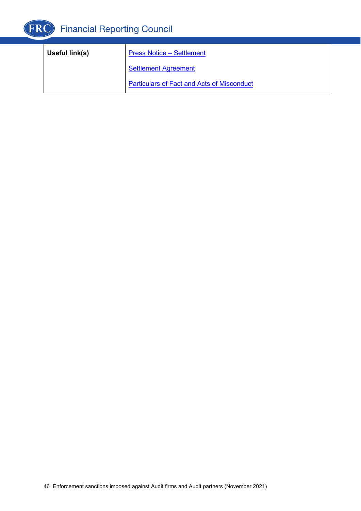

| Useful link(s) | <b>Press Notice – Settlement</b>                  |
|----------------|---------------------------------------------------|
|                | <b>Settlement Agreement</b>                       |
|                | <b>Particulars of Fact and Acts of Misconduct</b> |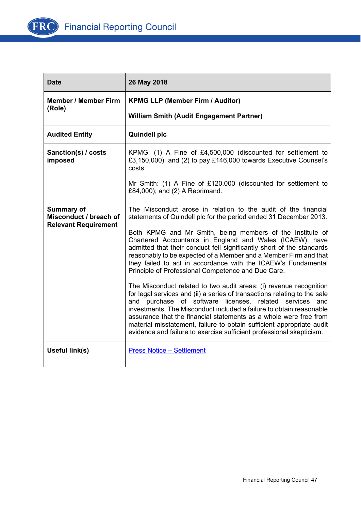

| <b>Date</b>                                                         | 26 May 2018                                                                                                                                                                                                                                                                                                                                                                                                                                                                                             |
|---------------------------------------------------------------------|---------------------------------------------------------------------------------------------------------------------------------------------------------------------------------------------------------------------------------------------------------------------------------------------------------------------------------------------------------------------------------------------------------------------------------------------------------------------------------------------------------|
| <b>Member / Member Firm</b>                                         | <b>KPMG LLP (Member Firm / Auditor)</b>                                                                                                                                                                                                                                                                                                                                                                                                                                                                 |
| (Role)                                                              | <b>William Smith (Audit Engagement Partner)</b>                                                                                                                                                                                                                                                                                                                                                                                                                                                         |
| <b>Audited Entity</b>                                               | <b>Quindell plc</b>                                                                                                                                                                                                                                                                                                                                                                                                                                                                                     |
| Sanction(s) / costs<br>imposed                                      | KPMG: (1) A Fine of £4,500,000 (discounted for settlement to<br>£3,150,000); and (2) to pay £146,000 towards Executive Counsel's<br>costs.                                                                                                                                                                                                                                                                                                                                                              |
|                                                                     | Mr Smith: (1) A Fine of £120,000 (discounted for settlement to<br>£84,000); and (2) A Reprimand.                                                                                                                                                                                                                                                                                                                                                                                                        |
| Summary of<br>Misconduct / breach of<br><b>Relevant Requirement</b> | The Misconduct arose in relation to the audit of the financial<br>statements of Quindell plc for the period ended 31 December 2013.                                                                                                                                                                                                                                                                                                                                                                     |
|                                                                     | Both KPMG and Mr Smith, being members of the Institute of<br>Chartered Accountants in England and Wales (ICAEW), have<br>admitted that their conduct fell significantly short of the standards<br>reasonably to be expected of a Member and a Member Firm and that<br>they failed to act in accordance with the ICAEW's Fundamental<br>Principle of Professional Competence and Due Care.                                                                                                               |
|                                                                     | The Misconduct related to two audit areas: (i) revenue recognition<br>for legal services and (ii) a series of transactions relating to the sale<br>and purchase of software licenses, related services and<br>investments. The Misconduct included a failure to obtain reasonable<br>assurance that the financial statements as a whole were free from<br>material misstatement, failure to obtain sufficient appropriate audit<br>evidence and failure to exercise sufficient professional skepticism. |
| Useful link(s)                                                      | <b>Press Notice - Settlement</b>                                                                                                                                                                                                                                                                                                                                                                                                                                                                        |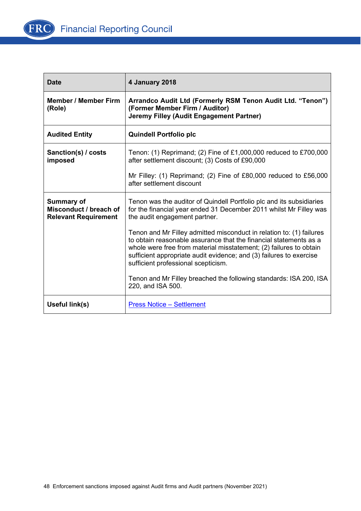

| <b>Date</b>                                                                | 4 January 2018                                                                                                                                                                                                                                                                                                                |
|----------------------------------------------------------------------------|-------------------------------------------------------------------------------------------------------------------------------------------------------------------------------------------------------------------------------------------------------------------------------------------------------------------------------|
| <b>Member / Member Firm</b><br>(Role)                                      | Arrandco Audit Ltd (Formerly RSM Tenon Audit Ltd. "Tenon")<br>(Former Member Firm / Auditor)<br>Jeremy Filley (Audit Engagement Partner)                                                                                                                                                                                      |
| <b>Audited Entity</b>                                                      | <b>Quindell Portfolio plc</b>                                                                                                                                                                                                                                                                                                 |
| Sanction(s) / costs<br>imposed                                             | Tenon: (1) Reprimand; (2) Fine of £1,000,000 reduced to £700,000<br>after settlement discount; (3) Costs of £90,000                                                                                                                                                                                                           |
|                                                                            | Mr Filley: (1) Reprimand; (2) Fine of £80,000 reduced to £56,000<br>after settlement discount                                                                                                                                                                                                                                 |
| <b>Summary of</b><br>Misconduct / breach of<br><b>Relevant Requirement</b> | Tenon was the auditor of Quindell Portfolio plc and its subsidiaries<br>for the financial year ended 31 December 2011 whilst Mr Filley was<br>the audit engagement partner.                                                                                                                                                   |
|                                                                            | Tenon and Mr Filley admitted misconduct in relation to: (1) failures<br>to obtain reasonable assurance that the financial statements as a<br>whole were free from material misstatement; (2) failures to obtain<br>sufficient appropriate audit evidence; and (3) failures to exercise<br>sufficient professional scepticism. |
|                                                                            | Tenon and Mr Filley breached the following standards: ISA 200, ISA<br>220, and ISA 500.                                                                                                                                                                                                                                       |
| Useful link(s)                                                             | <b>Press Notice - Settlement</b>                                                                                                                                                                                                                                                                                              |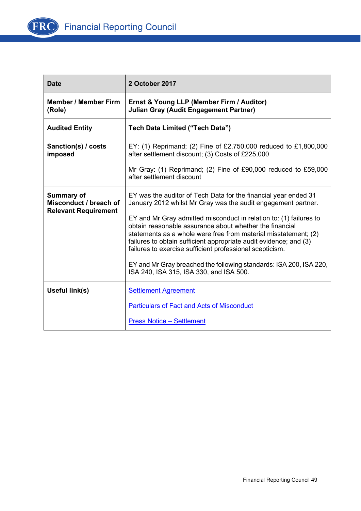

| <b>Date</b>                                                                | 2 October 2017                                                                                                                                                                                                                                                                                                                    |
|----------------------------------------------------------------------------|-----------------------------------------------------------------------------------------------------------------------------------------------------------------------------------------------------------------------------------------------------------------------------------------------------------------------------------|
| <b>Member / Member Firm</b><br>(Role)                                      | Ernst & Young LLP (Member Firm / Auditor)<br><b>Julian Gray (Audit Engagement Partner)</b>                                                                                                                                                                                                                                        |
| <b>Audited Entity</b>                                                      | Tech Data Limited ("Tech Data")                                                                                                                                                                                                                                                                                                   |
| Sanction(s) / costs<br>imposed                                             | EY: (1) Reprimand; (2) Fine of £2,750,000 reduced to £1,800,000<br>after settlement discount; (3) Costs of £225,000                                                                                                                                                                                                               |
|                                                                            | Mr Gray: (1) Reprimand; (2) Fine of £90,000 reduced to £59,000<br>after settlement discount                                                                                                                                                                                                                                       |
| <b>Summary of</b><br>Misconduct / breach of<br><b>Relevant Requirement</b> | EY was the auditor of Tech Data for the financial year ended 31<br>January 2012 whilst Mr Gray was the audit engagement partner.                                                                                                                                                                                                  |
|                                                                            | EY and Mr Gray admitted misconduct in relation to: (1) failures to<br>obtain reasonable assurance about whether the financial<br>statements as a whole were free from material misstatement; (2)<br>failures to obtain sufficient appropriate audit evidence; and (3)<br>failures to exercise sufficient professional scepticism. |
|                                                                            | EY and Mr Gray breached the following standards: ISA 200, ISA 220,<br>ISA 240, ISA 315, ISA 330, and ISA 500.                                                                                                                                                                                                                     |
| Useful link(s)                                                             | <b>Settlement Agreement</b>                                                                                                                                                                                                                                                                                                       |
|                                                                            | <b>Particulars of Fact and Acts of Misconduct</b>                                                                                                                                                                                                                                                                                 |
|                                                                            | <b>Press Notice - Settlement</b>                                                                                                                                                                                                                                                                                                  |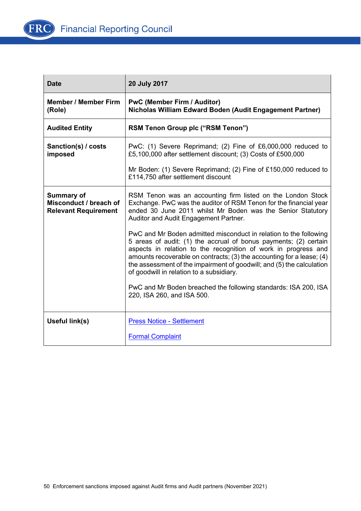

| <b>Date</b>                                                                | 20 July 2017                                                                                                                                                                                                                                                                                                                                                                                          |
|----------------------------------------------------------------------------|-------------------------------------------------------------------------------------------------------------------------------------------------------------------------------------------------------------------------------------------------------------------------------------------------------------------------------------------------------------------------------------------------------|
| <b>Member / Member Firm</b><br>(Role)                                      | <b>PwC (Member Firm / Auditor)</b><br>Nicholas William Edward Boden (Audit Engagement Partner)                                                                                                                                                                                                                                                                                                        |
| <b>Audited Entity</b>                                                      | RSM Tenon Group plc ("RSM Tenon")                                                                                                                                                                                                                                                                                                                                                                     |
| Sanction(s) / costs<br>imposed                                             | PwC: (1) Severe Reprimand; (2) Fine of £6,000,000 reduced to<br>£5,100,000 after settlement discount; (3) Costs of £500,000                                                                                                                                                                                                                                                                           |
|                                                                            | Mr Boden: (1) Severe Reprimand; (2) Fine of £150,000 reduced to<br>£114,750 after settlement discount                                                                                                                                                                                                                                                                                                 |
| <b>Summary of</b><br>Misconduct / breach of<br><b>Relevant Requirement</b> | RSM Tenon was an accounting firm listed on the London Stock<br>Exchange. PwC was the auditor of RSM Tenon for the financial year<br>ended 30 June 2011 whilst Mr Boden was the Senior Statutory<br>Auditor and Audit Engagement Partner.                                                                                                                                                              |
|                                                                            | PwC and Mr Boden admitted misconduct in relation to the following<br>5 areas of audit: (1) the accrual of bonus payments; (2) certain<br>aspects in relation to the recognition of work in progress and<br>amounts recoverable on contracts; (3) the accounting for a lease; (4)<br>the assessment of the impairment of goodwill; and (5) the calculation<br>of goodwill in relation to a subsidiary. |
|                                                                            | PwC and Mr Boden breached the following standards: ISA 200, ISA<br>220, ISA 260, and ISA 500.                                                                                                                                                                                                                                                                                                         |
| Useful link(s)                                                             | <b>Press Notice - Settlement</b>                                                                                                                                                                                                                                                                                                                                                                      |
|                                                                            | <b>Formal Complaint</b>                                                                                                                                                                                                                                                                                                                                                                               |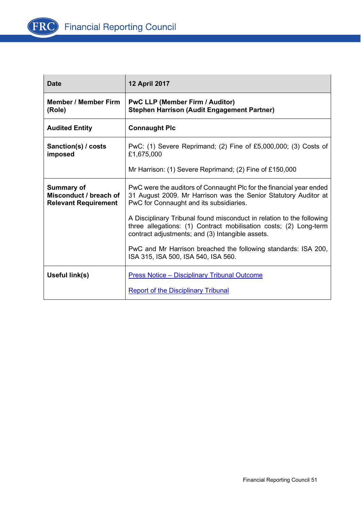

| <b>Date</b>                                                                | <b>12 April 2017</b>                                                                                                                                                                           |
|----------------------------------------------------------------------------|------------------------------------------------------------------------------------------------------------------------------------------------------------------------------------------------|
| <b>Member / Member Firm</b><br>(Role)                                      | <b>PwC LLP (Member Firm / Auditor)</b><br><b>Stephen Harrison (Audit Engagement Partner)</b>                                                                                                   |
| <b>Audited Entity</b>                                                      | <b>Connaught Plc</b>                                                                                                                                                                           |
| Sanction(s) / costs<br>imposed                                             | PwC: (1) Severe Reprimand; (2) Fine of £5,000,000; (3) Costs of<br>£1,675,000                                                                                                                  |
|                                                                            | Mr Harrison: (1) Severe Reprimand; (2) Fine of £150,000                                                                                                                                        |
| <b>Summary of</b><br>Misconduct / breach of<br><b>Relevant Requirement</b> | PwC were the auditors of Connaught Plc for the financial year ended<br>31 August 2009. Mr Harrison was the Senior Statutory Auditor at<br>PwC for Connaught and its subsidiaries.              |
|                                                                            | A Disciplinary Tribunal found misconduct in relation to the following<br>three allegations: (1) Contract mobilisation costs; (2) Long-term<br>contract adjustments; and (3) Intangible assets. |
|                                                                            | PwC and Mr Harrison breached the following standards: ISA 200,<br>ISA 315, ISA 500, ISA 540, ISA 560.                                                                                          |
| Useful link(s)                                                             | <b>Press Notice - Disciplinary Tribunal Outcome</b>                                                                                                                                            |
|                                                                            | <b>Report of the Disciplinary Tribunal</b>                                                                                                                                                     |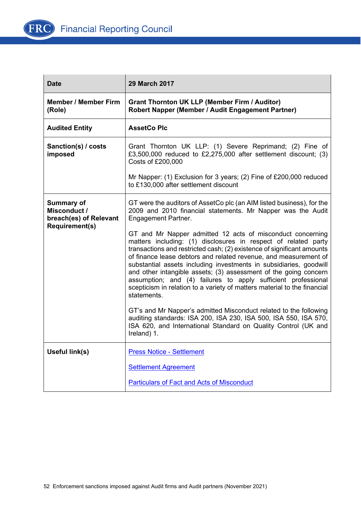

| Date                                                                                 | <b>29 March 2017</b>                                                                                                                                                                                                                                                                                                                                                                                                                                                                                                                                                                                                                                                                                                                                                                                                        |
|--------------------------------------------------------------------------------------|-----------------------------------------------------------------------------------------------------------------------------------------------------------------------------------------------------------------------------------------------------------------------------------------------------------------------------------------------------------------------------------------------------------------------------------------------------------------------------------------------------------------------------------------------------------------------------------------------------------------------------------------------------------------------------------------------------------------------------------------------------------------------------------------------------------------------------|
| <b>Member / Member Firm</b><br>(Role)                                                | <b>Grant Thornton UK LLP (Member Firm / Auditor)</b><br>Robert Napper (Member / Audit Engagement Partner)                                                                                                                                                                                                                                                                                                                                                                                                                                                                                                                                                                                                                                                                                                                   |
| <b>Audited Entity</b>                                                                | <b>AssetCo Plc</b>                                                                                                                                                                                                                                                                                                                                                                                                                                                                                                                                                                                                                                                                                                                                                                                                          |
| Sanction(s) / costs<br>imposed                                                       | Grant Thornton UK LLP: (1) Severe Reprimand; (2) Fine of<br>£3,500,000 reduced to £2,275,000 after settlement discount; $(3)$<br>Costs of £200,000                                                                                                                                                                                                                                                                                                                                                                                                                                                                                                                                                                                                                                                                          |
|                                                                                      | Mr Napper: (1) Exclusion for 3 years; (2) Fine of £200,000 reduced<br>to £130,000 after settlement discount                                                                                                                                                                                                                                                                                                                                                                                                                                                                                                                                                                                                                                                                                                                 |
| <b>Summary of</b><br>Misconduct /<br>breach(es) of Relevant<br><b>Requirement(s)</b> | GT were the auditors of AssetCo plc (an AIM listed business), for the<br>2009 and 2010 financial statements. Mr Napper was the Audit<br><b>Engagement Partner.</b><br>GT and Mr Napper admitted 12 acts of misconduct concerning<br>matters including: (1) disclosures in respect of related party<br>transactions and restricted cash; (2) existence of significant amounts<br>of finance lease debtors and related revenue, and measurement of<br>substantial assets including investments in subsidiaries, goodwill<br>and other intangible assets; (3) assessment of the going concern<br>assumption; and (4) failures to apply sufficient professional<br>scepticism in relation to a variety of matters material to the financial<br>statements.<br>GT's and Mr Napper's admitted Misconduct related to the following |
|                                                                                      | auditing standards: ISA 200, ISA 230, ISA 500, ISA 550, ISA 570,<br>ISA 620, and International Standard on Quality Control (UK and<br>Ireland) 1.                                                                                                                                                                                                                                                                                                                                                                                                                                                                                                                                                                                                                                                                           |
| Useful link(s)                                                                       | <b>Press Notice - Settlement</b>                                                                                                                                                                                                                                                                                                                                                                                                                                                                                                                                                                                                                                                                                                                                                                                            |
|                                                                                      | <b>Settlement Agreement</b>                                                                                                                                                                                                                                                                                                                                                                                                                                                                                                                                                                                                                                                                                                                                                                                                 |
|                                                                                      | <b>Particulars of Fact and Acts of Misconduct</b>                                                                                                                                                                                                                                                                                                                                                                                                                                                                                                                                                                                                                                                                                                                                                                           |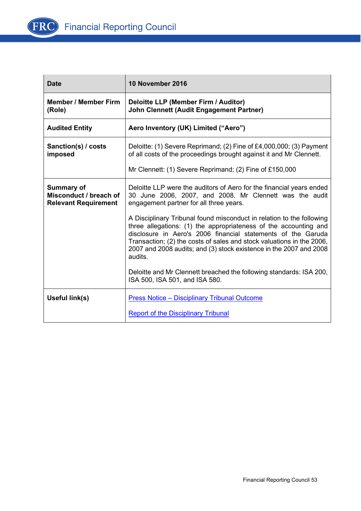

| <b>Date</b>                                                                | 10 November 2016                                                                                                                                                                                                                                                                                                                                                    |
|----------------------------------------------------------------------------|---------------------------------------------------------------------------------------------------------------------------------------------------------------------------------------------------------------------------------------------------------------------------------------------------------------------------------------------------------------------|
| <b>Member / Member Firm</b><br>(Role)                                      | Deloitte LLP (Member Firm / Auditor)<br><b>John Clennett (Audit Engagement Partner)</b>                                                                                                                                                                                                                                                                             |
| <b>Audited Entity</b>                                                      | Aero Inventory (UK) Limited ("Aero")                                                                                                                                                                                                                                                                                                                                |
| Sanction(s) / costs<br>imposed                                             | Deloitte: (1) Severe Reprimand; (2) Fine of £4,000,000; (3) Payment<br>of all costs of the proceedings brought against it and Mr Clennett.                                                                                                                                                                                                                          |
|                                                                            | Mr Clennett: (1) Severe Reprimand; (2) Fine of £150,000                                                                                                                                                                                                                                                                                                             |
| <b>Summary of</b><br>Misconduct / breach of<br><b>Relevant Requirement</b> | Deloitte LLP were the auditors of Aero for the financial years ended<br>30 June 2006, 2007, and 2008. Mr Clennett was the audit<br>engagement partner for all three years.                                                                                                                                                                                          |
|                                                                            | A Disciplinary Tribunal found misconduct in relation to the following<br>three allegations: (1) the appropriateness of the accounting and<br>disclosure in Aero's 2006 financial statements of the Garuda<br>Transaction; (2) the costs of sales and stock valuations in the 2006,<br>2007 and 2008 audits; and (3) stock existence in the 2007 and 2008<br>audits. |
|                                                                            | Deloitte and Mr Clennett breached the following standards: ISA 200,<br>ISA 500, ISA 501, and ISA 580.                                                                                                                                                                                                                                                               |
| Useful link(s)                                                             | <b>Press Notice - Disciplinary Tribunal Outcome</b>                                                                                                                                                                                                                                                                                                                 |
|                                                                            | <b>Report of the Disciplinary Tribunal</b>                                                                                                                                                                                                                                                                                                                          |